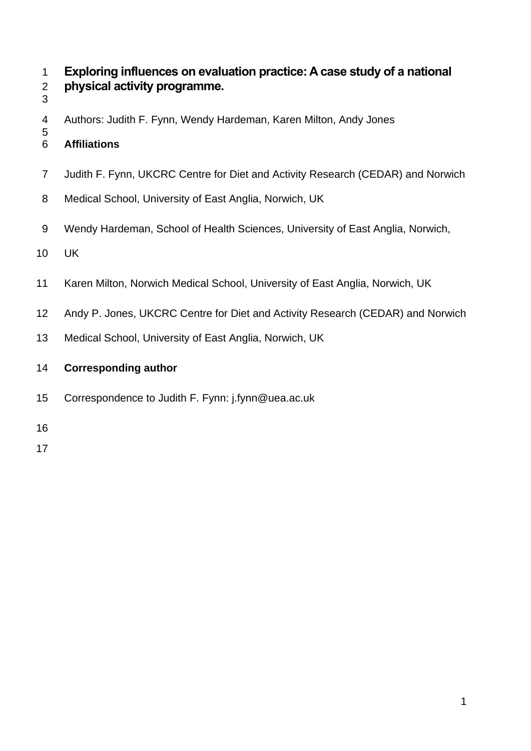# **Exploring influences on evaluation practice: A case study of a national physical activity programme.**

- 
- Authors: Judith F. Fynn, Wendy Hardeman, Karen Milton, Andy Jones
- **Affiliations**
- Judith F. Fynn, UKCRC Centre for Diet and Activity Research (CEDAR) and Norwich
- Medical School, University of East Anglia, Norwich, UK
- Wendy Hardeman, School of Health Sciences, University of East Anglia, Norwich,
- UK
- Karen Milton, Norwich Medical School, University of East Anglia, Norwich, UK
- Andy P. Jones, UKCRC Centre for Diet and Activity Research (CEDAR) and Norwich
- Medical School, University of East Anglia, Norwich, UK
- **Corresponding author**
- Correspondence to Judith F. Fynn: j.fynn@uea.ac.uk
-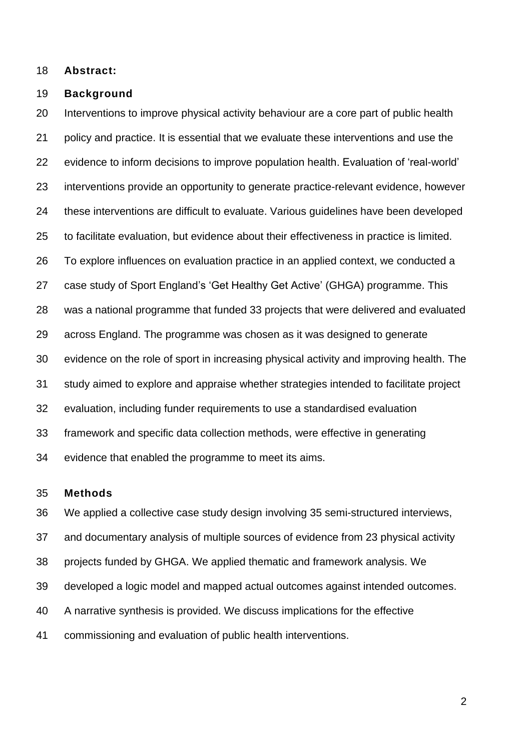**Abstract:**

#### **Background**

 Interventions to improve physical activity behaviour are a core part of public health policy and practice. It is essential that we evaluate these interventions and use the evidence to inform decisions to improve population health. Evaluation of 'real-world' interventions provide an opportunity to generate practice-relevant evidence, however these interventions are difficult to evaluate. Various guidelines have been developed to facilitate evaluation, but evidence about their effectiveness in practice is limited. To explore influences on evaluation practice in an applied context, we conducted a case study of Sport England's 'Get Healthy Get Active' (GHGA) programme. This was a national programme that funded 33 projects that were delivered and evaluated across England. The programme was chosen as it was designed to generate evidence on the role of sport in increasing physical activity and improving health. The study aimed to explore and appraise whether strategies intended to facilitate project evaluation, including funder requirements to use a standardised evaluation framework and specific data collection methods, were effective in generating evidence that enabled the programme to meet its aims.

## **Methods**

 We applied a collective case study design involving 35 semi-structured interviews, and documentary analysis of multiple sources of evidence from 23 physical activity projects funded by GHGA. We applied thematic and framework analysis. We developed a logic model and mapped actual outcomes against intended outcomes. A narrative synthesis is provided. We discuss implications for the effective commissioning and evaluation of public health interventions.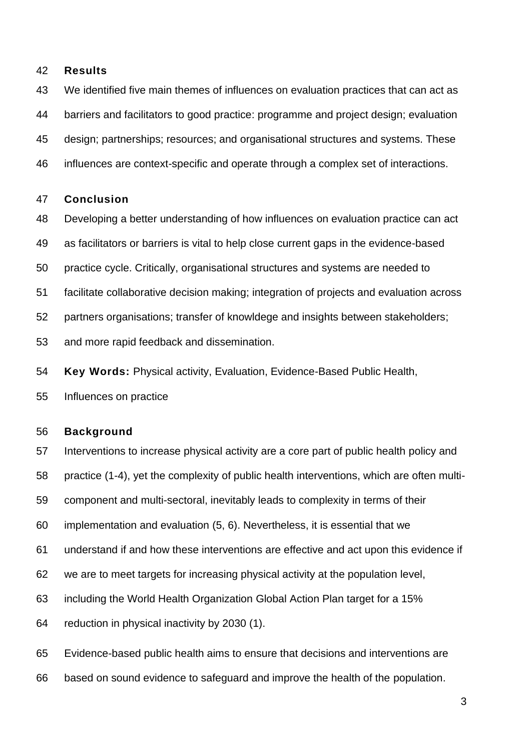#### **Results**

We identified five main themes of influences on evaluation practices that can act as

barriers and facilitators to good practice: programme and project design; evaluation

design; partnerships; resources; and organisational structures and systems. These

influences are context-specific and operate through a complex set of interactions.

#### **Conclusion**

- Developing a better understanding of how influences on evaluation practice can act
- as facilitators or barriers is vital to help close current gaps in the evidence-based
- practice cycle. Critically, organisational structures and systems are needed to
- facilitate collaborative decision making; integration of projects and evaluation across
- partners organisations; transfer of knowldege and insights between stakeholders;
- and more rapid feedback and dissemination.
- **Key Words:** Physical activity, Evaluation, Evidence-Based Public Health,
- Influences on practice

#### **Background**

- Interventions to increase physical activity are a core part of public health policy and
- practice (1-4), yet the complexity of public health interventions, which are often multi-
- component and multi-sectoral, inevitably leads to complexity in terms of their
- implementation and evaluation (5, 6). Nevertheless, it is essential that we
- understand if and how these interventions are effective and act upon this evidence if
- we are to meet targets for increasing physical activity at the population level,
- including the World Health Organization Global Action Plan target for a 15%
- reduction in physical inactivity by 2030 (1).
- Evidence-based public health aims to ensure that decisions and interventions are
- based on sound evidence to safeguard and improve the health of the population.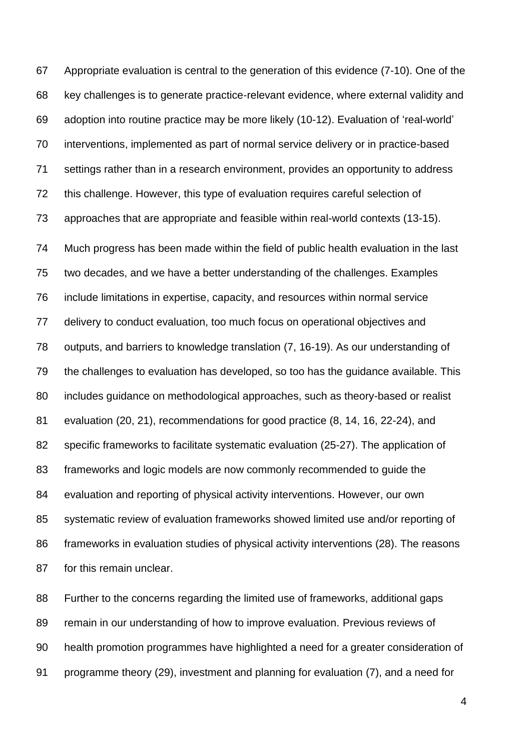Appropriate evaluation is central to the generation of this evidence (7-10). One of the key challenges is to generate practice-relevant evidence, where external validity and adoption into routine practice may be more likely (10-12). Evaluation of 'real-world' interventions, implemented as part of normal service delivery or in practice-based settings rather than in a research environment, provides an opportunity to address this challenge. However, this type of evaluation requires careful selection of approaches that are appropriate and feasible within real-world contexts (13-15).

 Much progress has been made within the field of public health evaluation in the last two decades, and we have a better understanding of the challenges. Examples include limitations in expertise, capacity, and resources within normal service delivery to conduct evaluation, too much focus on operational objectives and outputs, and barriers to knowledge translation (7, 16-19). As our understanding of the challenges to evaluation has developed, so too has the guidance available. This includes guidance on methodological approaches, such as theory-based or realist evaluation (20, 21), recommendations for good practice (8, 14, 16, 22-24), and specific frameworks to facilitate systematic evaluation (25-27). The application of frameworks and logic models are now commonly recommended to guide the evaluation and reporting of physical activity interventions. However, our own systematic review of evaluation frameworks showed limited use and/or reporting of frameworks in evaluation studies of physical activity interventions (28). The reasons for this remain unclear.

 Further to the concerns regarding the limited use of frameworks, additional gaps remain in our understanding of how to improve evaluation. Previous reviews of health promotion programmes have highlighted a need for a greater consideration of programme theory (29), investment and planning for evaluation (7), and a need for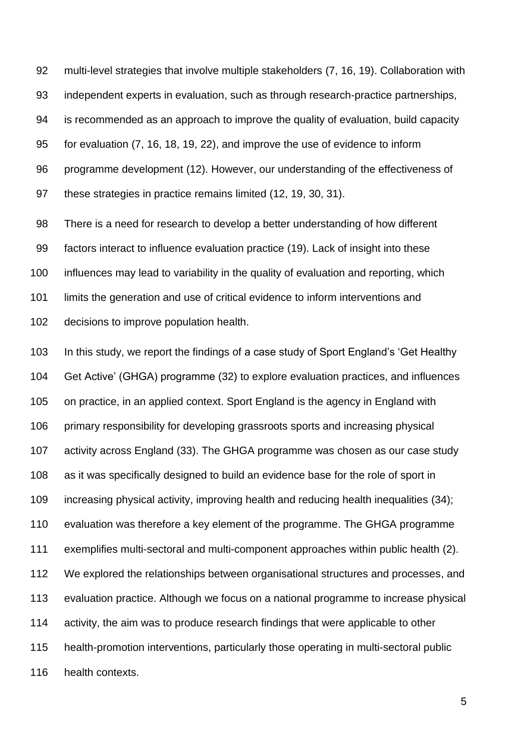multi-level strategies that involve multiple stakeholders (7, 16, 19). Collaboration with independent experts in evaluation, such as through research-practice partnerships, is recommended as an approach to improve the quality of evaluation, build capacity for evaluation (7, 16, 18, 19, 22), and improve the use of evidence to inform programme development (12). However, our understanding of the effectiveness of these strategies in practice remains limited (12, 19, 30, 31).

 There is a need for research to develop a better understanding of how different factors interact to influence evaluation practice (19). Lack of insight into these influences may lead to variability in the quality of evaluation and reporting, which limits the generation and use of critical evidence to inform interventions and decisions to improve population health.

 In this study, we report the findings of a case study of Sport England's 'Get Healthy Get Active' (GHGA) programme (32) to explore evaluation practices, and influences on practice, in an applied context. Sport England is the agency in England with primary responsibility for developing grassroots sports and increasing physical activity across England (33). The GHGA programme was chosen as our case study as it was specifically designed to build an evidence base for the role of sport in increasing physical activity, improving health and reducing health inequalities (34); evaluation was therefore a key element of the programme. The GHGA programme exemplifies multi-sectoral and multi-component approaches within public health (2). We explored the relationships between organisational structures and processes, and evaluation practice. Although we focus on a national programme to increase physical activity, the aim was to produce research findings that were applicable to other health-promotion interventions, particularly those operating in multi-sectoral public health contexts.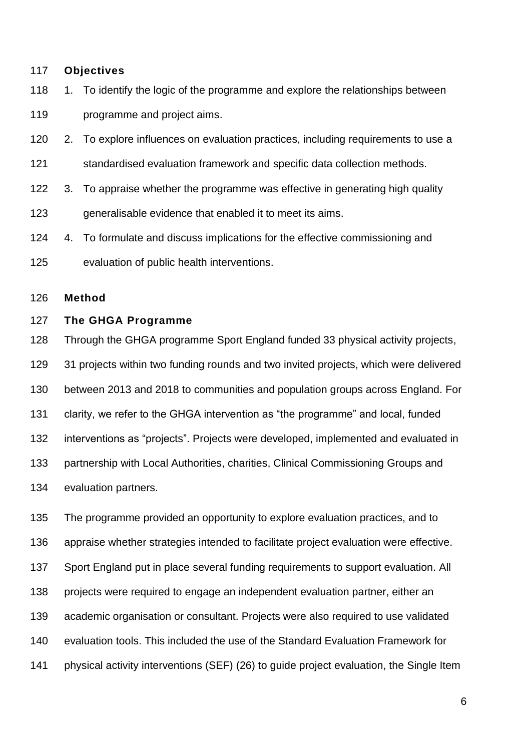#### **Objectives**

- 118 1. To identify the logic of the programme and explore the relationships between programme and project aims.
- 2. To explore influences on evaluation practices, including requirements to use a
- standardised evaluation framework and specific data collection methods.
- 3. To appraise whether the programme was effective in generating high quality
- 123 generalisable evidence that enabled it to meet its aims.
- 4. To formulate and discuss implications for the effective commissioning and
- evaluation of public health interventions.

## **Method**

#### **The GHGA Programme**

 Through the GHGA programme Sport England funded 33 physical activity projects, 31 projects within two funding rounds and two invited projects, which were delivered between 2013 and 2018 to communities and population groups across England. For clarity, we refer to the GHGA intervention as "the programme" and local, funded interventions as "projects". Projects were developed, implemented and evaluated in partnership with Local Authorities, charities, Clinical Commissioning Groups and evaluation partners.

 The programme provided an opportunity to explore evaluation practices, and to appraise whether strategies intended to facilitate project evaluation were effective. Sport England put in place several funding requirements to support evaluation. All projects were required to engage an independent evaluation partner, either an academic organisation or consultant. Projects were also required to use validated evaluation tools. This included the use of the Standard Evaluation Framework for physical activity interventions (SEF) (26) to guide project evaluation, the Single Item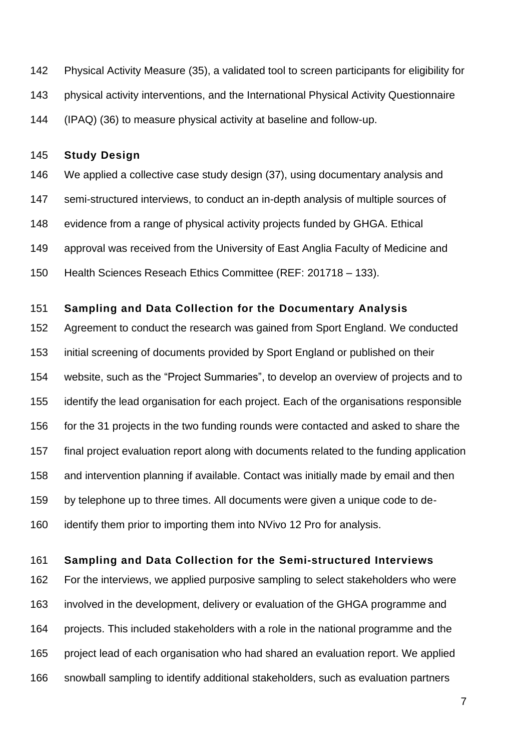Physical Activity Measure (35), a validated tool to screen participants for eligibility for physical activity interventions, and the International Physical Activity Questionnaire (IPAQ) (36) to measure physical activity at baseline and follow-up.

## **Study Design**

 We applied a collective case study design (37), using documentary analysis and semi-structured interviews, to conduct an in-depth analysis of multiple sources of evidence from a range of physical activity projects funded by GHGA. Ethical approval was received from the University of East Anglia Faculty of Medicine and Health Sciences Reseach Ethics Committee (REF: 201718 – 133).

## **Sampling and Data Collection for the Documentary Analysis**

 Agreement to conduct the research was gained from Sport England. We conducted initial screening of documents provided by Sport England or published on their website, such as the "Project Summaries", to develop an overview of projects and to identify the lead organisation for each project. Each of the organisations responsible for the 31 projects in the two funding rounds were contacted and asked to share the final project evaluation report along with documents related to the funding application and intervention planning if available. Contact was initially made by email and then by telephone up to three times. All documents were given a unique code to de-identify them prior to importing them into NVivo 12 Pro for analysis.

## **Sampling and Data Collection for the Semi-structured Interviews**

 For the interviews, we applied purposive sampling to select stakeholders who were involved in the development, delivery or evaluation of the GHGA programme and projects. This included stakeholders with a role in the national programme and the project lead of each organisation who had shared an evaluation report. We applied snowball sampling to identify additional stakeholders, such as evaluation partners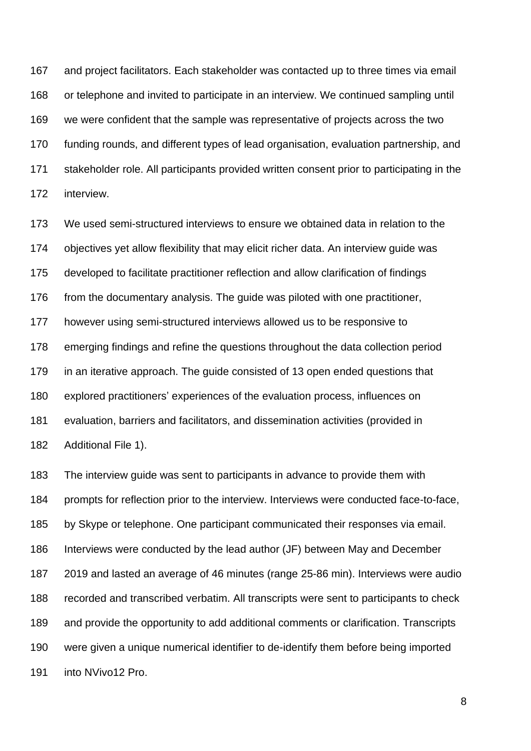and project facilitators. Each stakeholder was contacted up to three times via email or telephone and invited to participate in an interview. We continued sampling until we were confident that the sample was representative of projects across the two funding rounds, and different types of lead organisation, evaluation partnership, and stakeholder role. All participants provided written consent prior to participating in the interview.

 We used semi-structured interviews to ensure we obtained data in relation to the objectives yet allow flexibility that may elicit richer data. An interview guide was developed to facilitate practitioner reflection and allow clarification of findings from the documentary analysis. The guide was piloted with one practitioner, however using semi-structured interviews allowed us to be responsive to emerging findings and refine the questions throughout the data collection period in an iterative approach. The guide consisted of 13 open ended questions that explored practitioners' experiences of the evaluation process, influences on evaluation, barriers and facilitators, and dissemination activities (provided in Additional File 1).

 The interview guide was sent to participants in advance to provide them with prompts for reflection prior to the interview. Interviews were conducted face-to-face, by Skype or telephone. One participant communicated their responses via email. Interviews were conducted by the lead author (JF) between May and December 2019 and lasted an average of 46 minutes (range 25-86 min). Interviews were audio recorded and transcribed verbatim. All transcripts were sent to participants to check and provide the opportunity to add additional comments or clarification. Transcripts were given a unique numerical identifier to de-identify them before being imported into NVivo12 Pro.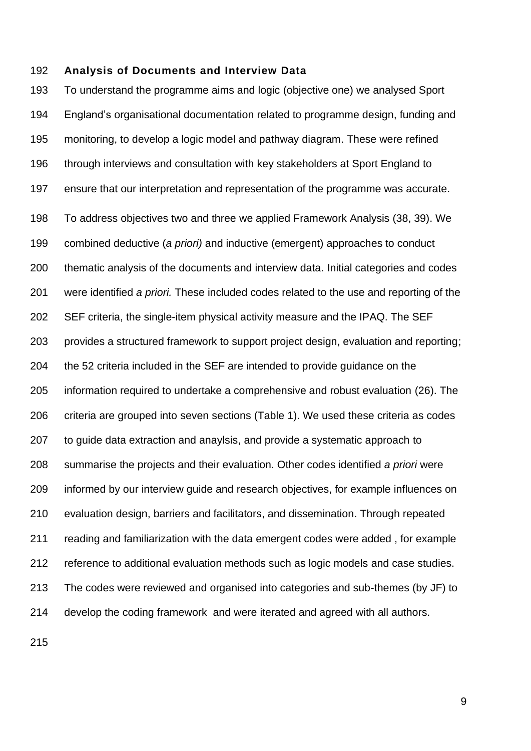#### **Analysis of Documents and Interview Data**

 To understand the programme aims and logic (objective one) we analysed Sport England's organisational documentation related to programme design, funding and monitoring, to develop a logic model and pathway diagram. These were refined through interviews and consultation with key stakeholders at Sport England to ensure that our interpretation and representation of the programme was accurate. To address objectives two and three we applied Framework Analysis (38, 39). We combined deductive (*a priori)* and inductive (emergent) approaches to conduct thematic analysis of the documents and interview data. Initial categories and codes were identified *a priori.* These included codes related to the use and reporting of the SEF criteria, the single-item physical activity measure and the IPAQ. The SEF provides a structured framework to support project design, evaluation and reporting; the 52 criteria included in the SEF are intended to provide guidance on the information required to undertake a comprehensive and robust evaluation (26). The criteria are grouped into seven sections (Table 1). We used these criteria as codes to guide data extraction and anaylsis, and provide a systematic approach to summarise the projects and their evaluation. Other codes identified *a priori* were informed by our interview guide and research objectives, for example influences on evaluation design, barriers and facilitators, and dissemination. Through repeated reading and familiarization with the data emergent codes were added , for example reference to additional evaluation methods such as logic models and case studies. The codes were reviewed and organised into categories and sub-themes (by JF) to develop the coding framework and were iterated and agreed with all authors.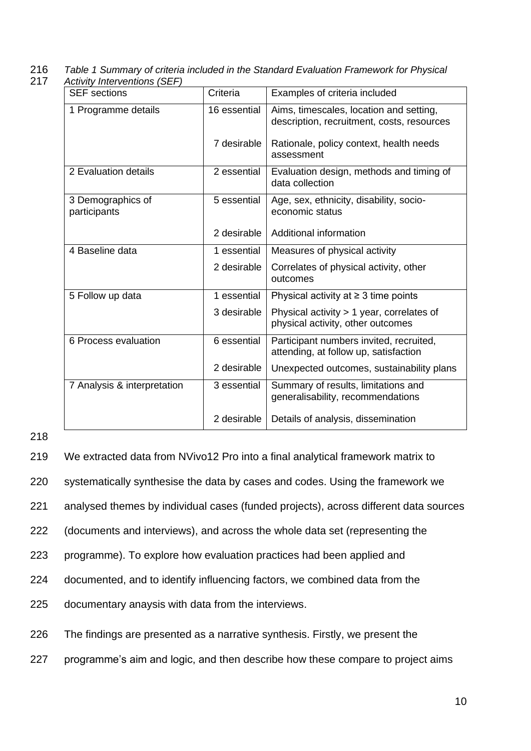216 *Table 1 Summary of criteria included in the Standard Evaluation Framework for Physical*  217 *Activity Interventions (SEF)*

| ן שווטוווטו וער זווואון ווע<br><b>SEF</b> sections | Criteria     | Examples of criteria included                                                         |
|----------------------------------------------------|--------------|---------------------------------------------------------------------------------------|
| 1 Programme details                                | 16 essential | Aims, timescales, location and setting,<br>description, recruitment, costs, resources |
|                                                    | 7 desirable  | Rationale, policy context, health needs<br>assessment                                 |
| 2 Evaluation details                               | 2 essential  | Evaluation design, methods and timing of<br>data collection                           |
| 3 Demographics of<br>participants                  | 5 essential  | Age, sex, ethnicity, disability, socio-<br>economic status                            |
|                                                    | 2 desirable  | Additional information                                                                |
| 4 Baseline data                                    | 1 essential  | Measures of physical activity                                                         |
|                                                    | 2 desirable  | Correlates of physical activity, other<br>outcomes                                    |
| 5 Follow up data                                   | 1 essential  | Physical activity at $\geq$ 3 time points                                             |
|                                                    | 3 desirable  | Physical activity > 1 year, correlates of<br>physical activity, other outcomes        |
| 6 Process evaluation                               | 6 essential  | Participant numbers invited, recruited,<br>attending, at follow up, satisfaction      |
|                                                    | 2 desirable  | Unexpected outcomes, sustainability plans                                             |
| 7 Analysis & interpretation                        | 3 essential  | Summary of results, limitations and<br>generalisability, recommendations              |
|                                                    | 2 desirable  | Details of analysis, dissemination                                                    |

218

219 We extracted data from NVivo12 Pro into a final analytical framework matrix to

220 systematically synthesise the data by cases and codes. Using the framework we

221 analysed themes by individual cases (funded projects), across different data sources

222 (documents and interviews), and across the whole data set (representing the

223 programme). To explore how evaluation practices had been applied and

224 documented, and to identify influencing factors, we combined data from the

225 documentary anaysis with data from the interviews.

226 The findings are presented as a narrative synthesis. Firstly, we present the

227 programme's aim and logic, and then describe how these compare to project aims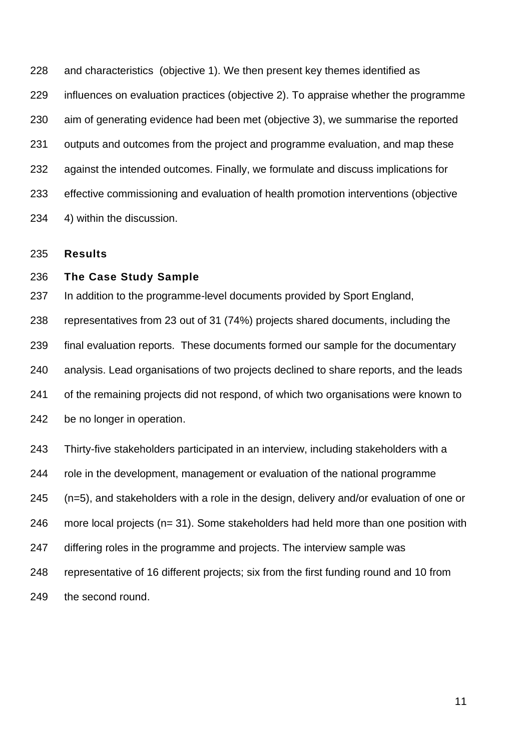and characteristics (objective 1). We then present key themes identified as influences on evaluation practices (objective 2). To appraise whether the programme aim of generating evidence had been met (objective 3), we summarise the reported outputs and outcomes from the project and programme evaluation, and map these against the intended outcomes. Finally, we formulate and discuss implications for effective commissioning and evaluation of health promotion interventions (objective 4) within the discussion.

**Results**

## **The Case Study Sample**

In addition to the programme-level documents provided by Sport England,

 representatives from 23 out of 31 (74%) projects shared documents, including the final evaluation reports. These documents formed our sample for the documentary analysis. Lead organisations of two projects declined to share reports, and the leads of the remaining projects did not respond, of which two organisations were known to be no longer in operation.

 Thirty-five stakeholders participated in an interview, including stakeholders with a role in the development, management or evaluation of the national programme (n=5), and stakeholders with a role in the design, delivery and/or evaluation of one or more local projects (n= 31). Some stakeholders had held more than one position with differing roles in the programme and projects. The interview sample was representative of 16 different projects; six from the first funding round and 10 from the second round.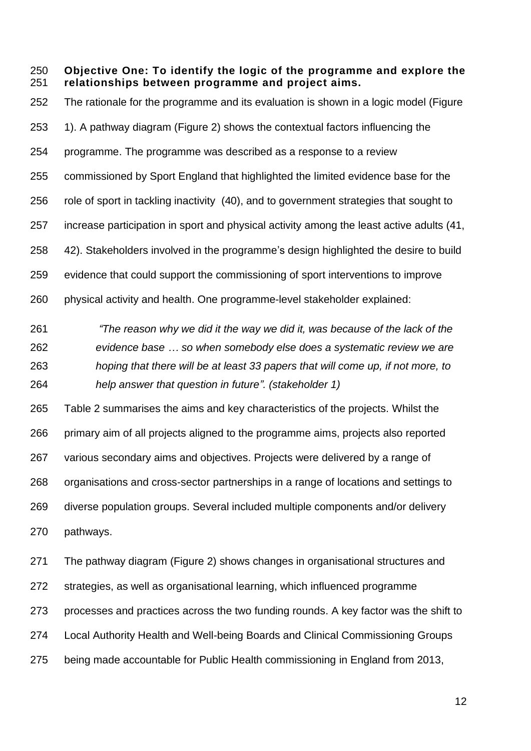**Objective One: To identify the logic of the programme and explore the relationships between programme and project aims.**

 The rationale for the programme and its evaluation is shown in a logic model (Figure 1). A pathway diagram (Figure 2) shows the contextual factors influencing the programme. The programme was described as a response to a review commissioned by Sport England that highlighted the limited evidence base for the 256 role of sport in tackling inactivity (40), and to government strategies that sought to increase participation in sport and physical activity among the least active adults (41, 42). Stakeholders involved in the programme's design highlighted the desire to build evidence that could support the commissioning of sport interventions to improve physical activity and health. One programme-level stakeholder explained:

 *"The reason why we did it the way we did it, was because of the lack of the evidence base … so when somebody else does a systematic review we are hoping that there will be at least 33 papers that will come up, if not more, to help answer that question in future". (stakeholder 1)*

 Table 2 summarises the aims and key characteristics of the projects. Whilst the primary aim of all projects aligned to the programme aims, projects also reported various secondary aims and objectives. Projects were delivered by a range of organisations and cross-sector partnerships in a range of locations and settings to diverse population groups. Several included multiple components and/or delivery pathways.

 The pathway diagram (Figure 2) shows changes in organisational structures and strategies, as well as organisational learning, which influenced programme processes and practices across the two funding rounds. A key factor was the shift to Local Authority Health and Well-being Boards and Clinical Commissioning Groups being made accountable for Public Health commissioning in England from 2013,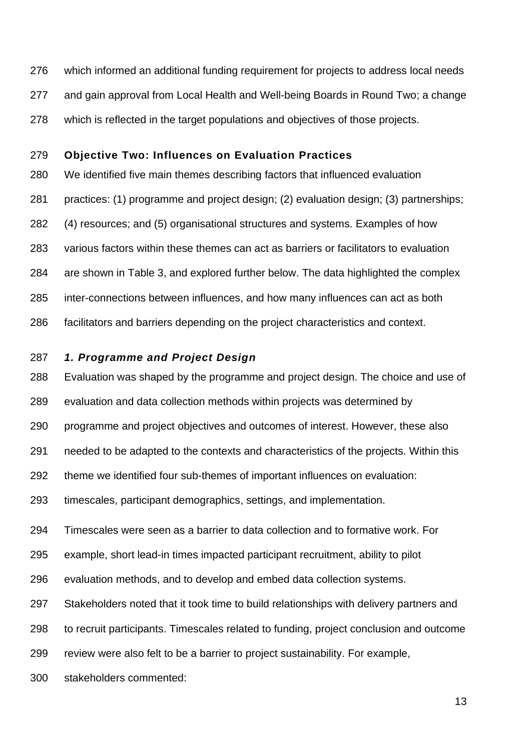- which informed an additional funding requirement for projects to address local needs
- and gain approval from Local Health and Well-being Boards in Round Two; a change
- which is reflected in the target populations and objectives of those projects.

#### **Objective Two: Influences on Evaluation Practices**

 We identified five main themes describing factors that influenced evaluation practices: (1) programme and project design; (2) evaluation design; (3) partnerships; (4) resources; and (5) organisational structures and systems. Examples of how various factors within these themes can act as barriers or facilitators to evaluation are shown in Table 3, and explored further below. The data highlighted the complex inter-connections between influences, and how many influences can act as both facilitators and barriers depending on the project characteristics and context.

## *1. Programme and Project Design*

 Evaluation was shaped by the programme and project design. The choice and use of evaluation and data collection methods within projects was determined by programme and project objectives and outcomes of interest. However, these also

needed to be adapted to the contexts and characteristics of the projects. Within this

theme we identified four sub-themes of important influences on evaluation:

timescales, participant demographics, settings, and implementation.

Timescales were seen as a barrier to data collection and to formative work. For

example, short lead-in times impacted participant recruitment, ability to pilot

evaluation methods, and to develop and embed data collection systems.

Stakeholders noted that it took time to build relationships with delivery partners and

to recruit participants. Timescales related to funding, project conclusion and outcome

review were also felt to be a barrier to project sustainability. For example,

stakeholders commented: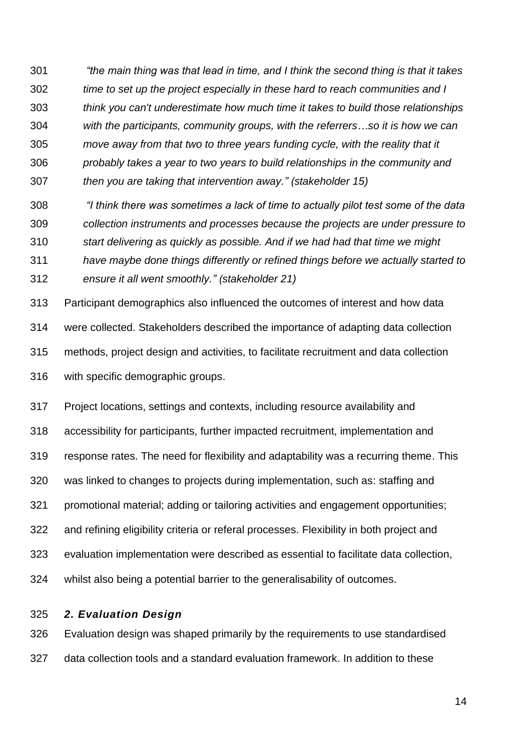*"the main thing was that lead in time, and I think the second thing is that it takes time to set up the project especially in these hard to reach communities and I think you can't underestimate how much time it takes to build those relationships with the participants, community groups, with the referrers…so it is how we can move away from that two to three years funding cycle, with the reality that it probably takes a year to two years to build relationships in the community and then you are taking that intervention away." (stakeholder 15)*

 *"I think there was sometimes a lack of time to actually pilot test some of the data collection instruments and processes because the projects are under pressure to start delivering as quickly as possible. And if we had had that time we might have maybe done things differently or refined things before we actually started to* 

*ensure it all went smoothly." (stakeholder 21)*

Participant demographics also influenced the outcomes of interest and how data

were collected. Stakeholders described the importance of adapting data collection

methods, project design and activities, to facilitate recruitment and data collection

with specific demographic groups.

 Project locations, settings and contexts, including resource availability and accessibility for participants, further impacted recruitment, implementation and response rates. The need for flexibility and adaptability was a recurring theme. This was linked to changes to projects during implementation, such as: staffing and promotional material; adding or tailoring activities and engagement opportunities; and refining eligibility criteria or referal processes. Flexibility in both project and evaluation implementation were described as essential to facilitate data collection, whilst also being a potential barrier to the generalisability of outcomes.

*2. Evaluation Design*

 Evaluation design was shaped primarily by the requirements to use standardised data collection tools and a standard evaluation framework. In addition to these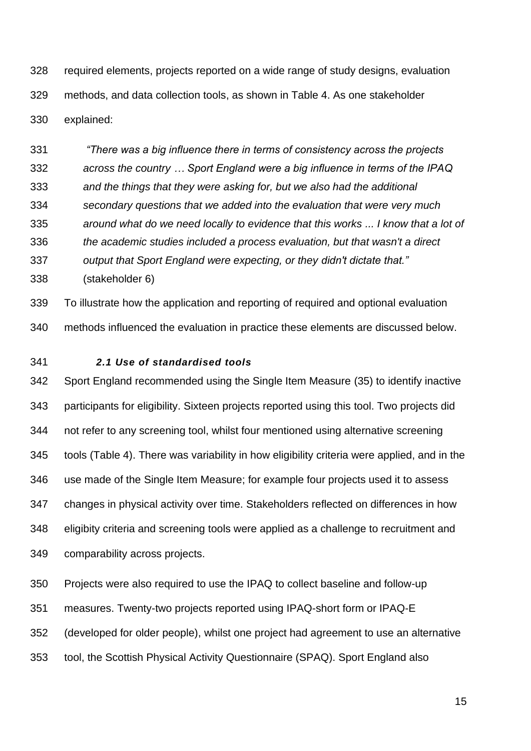required elements, projects reported on a wide range of study designs, evaluation methods, and data collection tools, as shown in Table 4. As one stakeholder explained:

 *"There was a big influence there in terms of consistency across the projects across the country … Sport England were a big influence in terms of the IPAQ and the things that they were asking for, but we also had the additional secondary questions that we added into the evaluation that were very much around what do we need locally to evidence that this works ... I know that a lot of the academic studies included a process evaluation, but that wasn't a direct* 

- *output that Sport England were expecting, or they didn't dictate that."*
- (stakeholder 6)

To illustrate how the application and reporting of required and optional evaluation

methods influenced the evaluation in practice these elements are discussed below.

## *2.1 Use of standardised tools*

 Sport England recommended using the Single Item Measure (35) to identify inactive participants for eligibility. Sixteen projects reported using this tool. Two projects did not refer to any screening tool, whilst four mentioned using alternative screening tools (Table 4). There was variability in how eligibility criteria were applied, and in the use made of the Single Item Measure; for example four projects used it to assess changes in physical activity over time. Stakeholders reflected on differences in how eligibity criteria and screening tools were applied as a challenge to recruitment and comparability across projects.

Projects were also required to use the IPAQ to collect baseline and follow-up

measures. Twenty-two projects reported using IPAQ-short form or IPAQ-E

(developed for older people), whilst one project had agreement to use an alternative

tool, the Scottish Physical Activity Questionnaire (SPAQ). Sport England also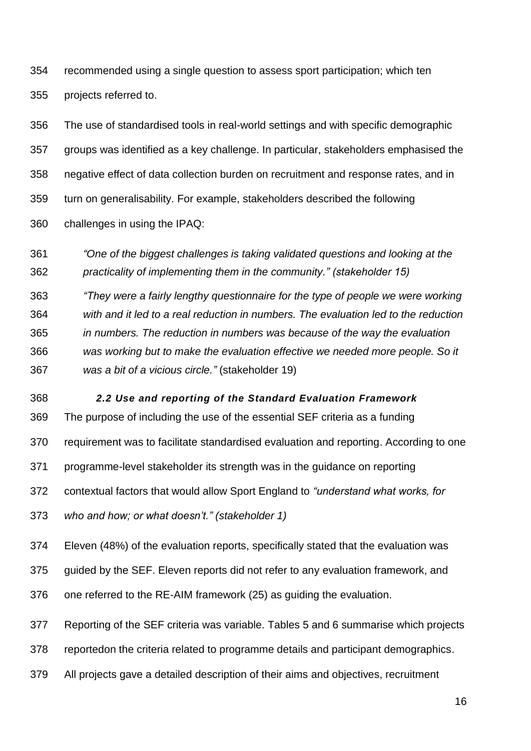recommended using a single question to assess sport participation; which ten projects referred to.

 The use of standardised tools in real-world settings and with specific demographic groups was identified as a key challenge. In particular, stakeholders emphasised the negative effect of data collection burden on recruitment and response rates, and in turn on generalisability. For example, stakeholders described the following challenges in using the IPAQ:

 *"One of the biggest challenges is taking validated questions and looking at the practicality of implementing them in the community." (stakeholder 15)*

*"They were a fairly lengthy questionnaire for the type of people we were working* 

 *with and it led to a real reduction in numbers. The evaluation led to the reduction in numbers. The reduction in numbers was because of the way the evaluation was working but to make the evaluation effective we needed more people. So it was a bit of a vicious circle."* (stakeholder 19)

*2.2 Use and reporting of the Standard Evaluation Framework*

The purpose of including the use of the essential SEF criteria as a funding

requirement was to facilitate standardised evaluation and reporting. According to one

programme-level stakeholder its strength was in the guidance on reporting

contextual factors that would allow Sport England to *"understand what works, for* 

*who and how; or what doesn't." (stakeholder 1)*

Eleven (48%) of the evaluation reports, specifically stated that the evaluation was

guided by the SEF. Eleven reports did not refer to any evaluation framework, and

one referred to the RE-AIM framework (25) as guiding the evaluation.

Reporting of the SEF criteria was variable. Tables 5 and 6 summarise which projects

reportedon the criteria related to programme details and participant demographics.

All projects gave a detailed description of their aims and objectives, recruitment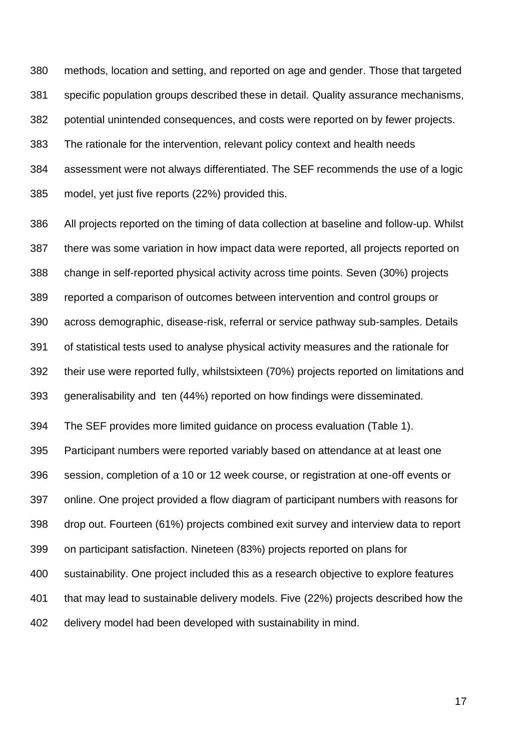methods, location and setting, and reported on age and gender. Those that targeted specific population groups described these in detail. Quality assurance mechanisms, potential unintended consequences, and costs were reported on by fewer projects. The rationale for the intervention, relevant policy context and health needs assessment were not always differentiated. The SEF recommends the use of a logic model, yet just five reports (22%) provided this.

 All projects reported on the timing of data collection at baseline and follow-up. Whilst there was some variation in how impact data were reported, all projects reported on change in self-reported physical activity across time points. Seven (30%) projects reported a comparison of outcomes between intervention and control groups or across demographic, disease-risk, referral or service pathway sub-samples. Details of statistical tests used to analyse physical activity measures and the rationale for their use were reported fully, whilstsixteen (70%) projects reported on limitations and generalisability and ten (44%) reported on how findings were disseminated.

The SEF provides more limited guidance on process evaluation (Table 1).

Participant numbers were reported variably based on attendance at at least one

session, completion of a 10 or 12 week course, or registration at one-off events or

online. One project provided a flow diagram of participant numbers with reasons for

drop out. Fourteen (61%) projects combined exit survey and interview data to report

on participant satisfaction. Nineteen (83%) projects reported on plans for

sustainability. One project included this as a research objective to explore features

that may lead to sustainable delivery models. Five (22%) projects described how the

delivery model had been developed with sustainability in mind.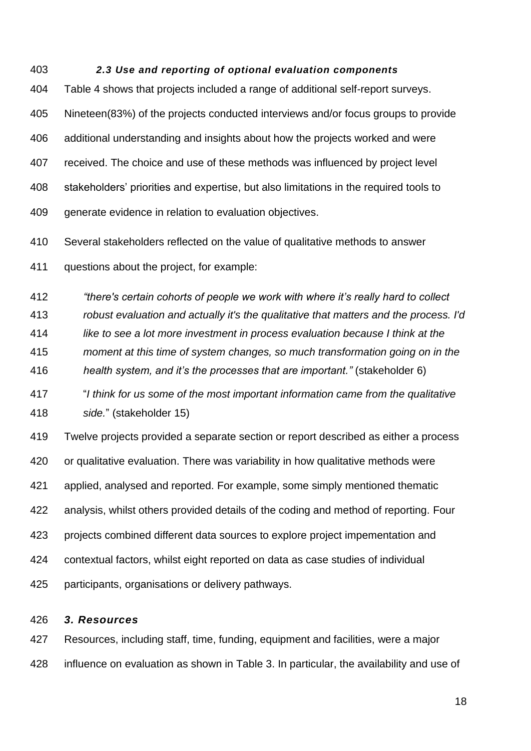#### *2.3 Use and reporting of optional evaluation components*

 Table 4 shows that projects included a range of additional self-report surveys. Nineteen(83%) of the projects conducted interviews and/or focus groups to provide additional understanding and insights about how the projects worked and were received. The choice and use of these methods was influenced by project level stakeholders' priorities and expertise, but also limitations in the required tools to 409 generate evidence in relation to evaluation objectives.

Several stakeholders reflected on the value of qualitative methods to answer

questions about the project, for example:

*"there's certain cohorts of people we work with where it's really hard to collect* 

*robust evaluation and actually it's the qualitative that matters and the process. I'd* 

*like to see a lot more investment in process evaluation because I think at the* 

*moment at this time of system changes, so much transformation going on in the* 

*health system, and it's the processes that are important."* (stakeholder 6)

 "*I think for us some of the most important information came from the qualitative side.*" (stakeholder 15)

 Twelve projects provided a separate section or report described as either a process or qualitative evaluation. There was variability in how qualitative methods were applied, analysed and reported. For example, some simply mentioned thematic analysis, whilst others provided details of the coding and method of reporting. Four projects combined different data sources to explore project impementation and contextual factors, whilst eight reported on data as case studies of individual participants, organisations or delivery pathways.

#### *3. Resources*

 Resources, including staff, time, funding, equipment and facilities, were a major influence on evaluation as shown in Table 3. In particular, the availability and use of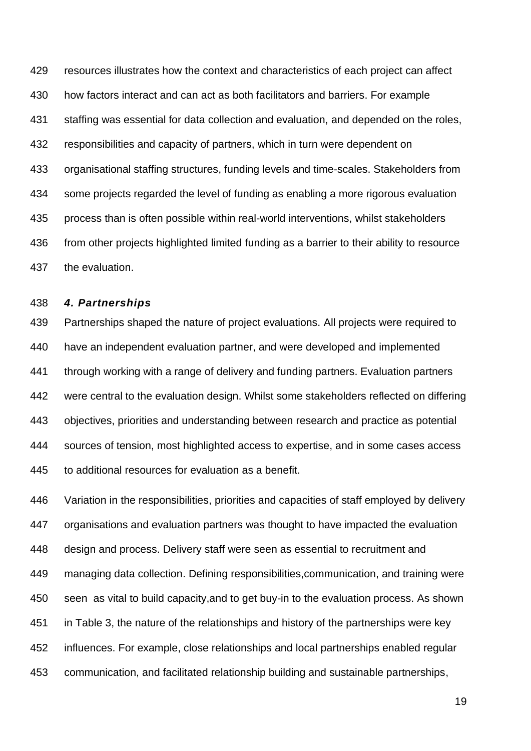resources illustrates how the context and characteristics of each project can affect how factors interact and can act as both facilitators and barriers. For example staffing was essential for data collection and evaluation, and depended on the roles, responsibilities and capacity of partners, which in turn were dependent on organisational staffing structures, funding levels and time-scales. Stakeholders from some projects regarded the level of funding as enabling a more rigorous evaluation process than is often possible within real-world interventions, whilst stakeholders 436 from other projects highlighted limited funding as a barrier to their ability to resource the evaluation.

#### *4. Partnerships*

 Partnerships shaped the nature of project evaluations. All projects were required to have an independent evaluation partner, and were developed and implemented through working with a range of delivery and funding partners. Evaluation partners were central to the evaluation design. Whilst some stakeholders reflected on differing objectives, priorities and understanding between research and practice as potential sources of tension, most highlighted access to expertise, and in some cases access 445 to additional resources for evaluation as a benefit.

 Variation in the responsibilities, priorities and capacities of staff employed by delivery organisations and evaluation partners was thought to have impacted the evaluation design and process. Delivery staff were seen as essential to recruitment and managing data collection. Defining responsibilities,communication, and training were seen as vital to build capacity,and to get buy-in to the evaluation process. As shown in Table 3, the nature of the relationships and history of the partnerships were key influences. For example, close relationships and local partnerships enabled regular communication, and facilitated relationship building and sustainable partnerships,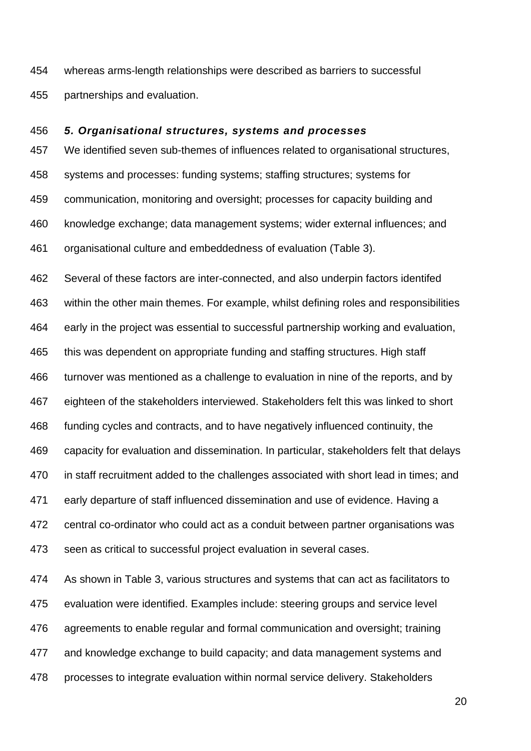whereas arms-length relationships were described as barriers to successful partnerships and evaluation.

#### *5. Organisational structures, systems and processes*

 We identified seven sub-themes of influences related to organisational structures, systems and processes: funding systems; staffing structures; systems for communication, monitoring and oversight; processes for capacity building and knowledge exchange; data management systems; wider external influences; and organisational culture and embeddedness of evaluation (Table 3).

 Several of these factors are inter-connected, and also underpin factors identifed within the other main themes. For example, whilst defining roles and responsibilities early in the project was essential to successful partnership working and evaluation, this was dependent on appropriate funding and staffing structures. High staff turnover was mentioned as a challenge to evaluation in nine of the reports, and by eighteen of the stakeholders interviewed. Stakeholders felt this was linked to short funding cycles and contracts, and to have negatively influenced continuity, the capacity for evaluation and dissemination. In particular, stakeholders felt that delays in staff recruitment added to the challenges associated with short lead in times; and early departure of staff influenced dissemination and use of evidence. Having a central co-ordinator who could act as a conduit between partner organisations was seen as critical to successful project evaluation in several cases.

 As shown in Table 3, various structures and systems that can act as facilitators to evaluation were identified. Examples include: steering groups and service level agreements to enable regular and formal communication and oversight; training and knowledge exchange to build capacity; and data management systems and processes to integrate evaluation within normal service delivery. Stakeholders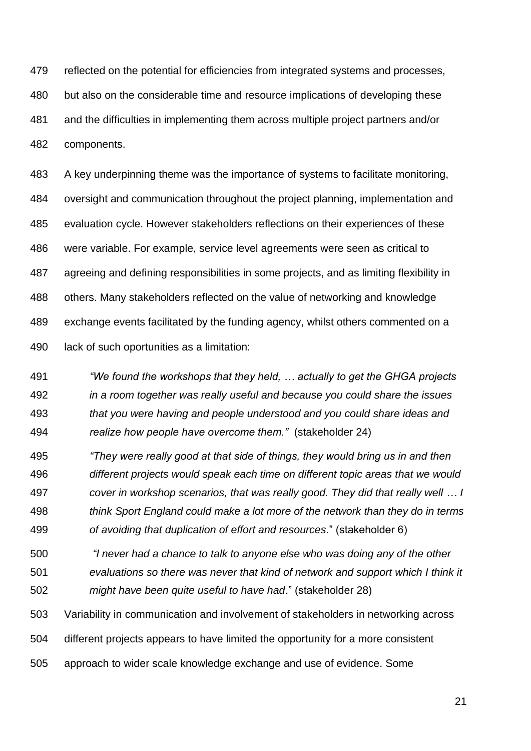reflected on the potential for efficiencies from integrated systems and processes, but also on the considerable time and resource implications of developing these and the difficulties in implementing them across multiple project partners and/or components.

 A key underpinning theme was the importance of systems to facilitate monitoring, oversight and communication throughout the project planning, implementation and evaluation cycle. However stakeholders reflections on their experiences of these were variable. For example, service level agreements were seen as critical to agreeing and defining responsibilities in some projects, and as limiting flexibility in others. Many stakeholders reflected on the value of networking and knowledge exchange events facilitated by the funding agency, whilst others commented on a lack of such oportunities as a limitation:

 *"We found the workshops that they held, … actually to get the GHGA projects in a room together was really useful and because you could share the issues that you were having and people understood and you could share ideas and realize how people have overcome them."* (stakeholder 24)

 *"They were really good at that side of things, they would bring us in and then different projects would speak each time on different topic areas that we would cover in workshop scenarios, that was really good. They did that really well … I think Sport England could make a lot more of the network than they do in terms of avoiding that duplication of effort and resources*." (stakeholder 6)

*"I never had a chance to talk to anyone else who was doing any of the other* 

*evaluations so there was never that kind of network and support which I think it* 

*might have been quite useful to have had*." (stakeholder 28)

Variability in communication and involvement of stakeholders in networking across

different projects appears to have limited the opportunity for a more consistent

approach to wider scale knowledge exchange and use of evidence. Some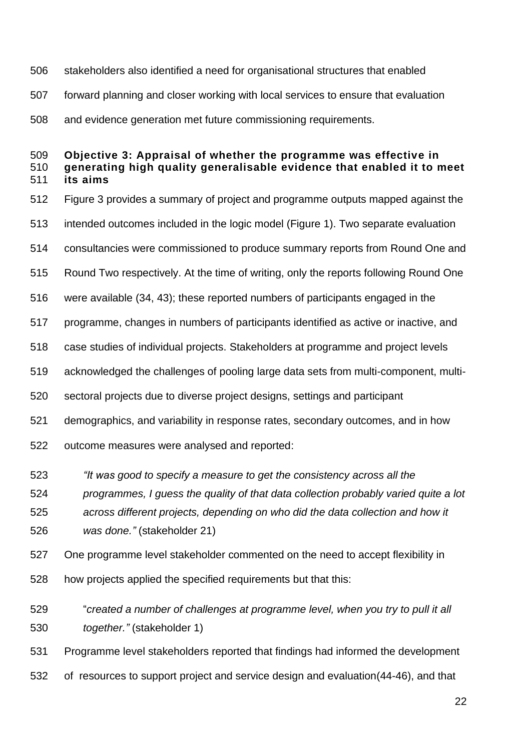stakeholders also identified a need for organisational structures that enabled forward planning and closer working with local services to ensure that evaluation and evidence generation met future commissioning requirements.

## **Objective 3: Appraisal of whether the programme was effective in generating high quality generalisable evidence that enabled it to meet its aims**

- Figure 3 provides a summary of project and programme outputs mapped against the
- intended outcomes included in the logic model (Figure 1). Two separate evaluation
- consultancies were commissioned to produce summary reports from Round One and
- Round Two respectively. At the time of writing, only the reports following Round One
- were available (34, 43); these reported numbers of participants engaged in the
- programme, changes in numbers of participants identified as active or inactive, and
- case studies of individual projects. Stakeholders at programme and project levels
- acknowledged the challenges of pooling large data sets from multi-component, multi-
- sectoral projects due to diverse project designs, settings and participant
- demographics, and variability in response rates, secondary outcomes, and in how
- outcome measures were analysed and reported:
- *"It was good to specify a measure to get the consistency across all the*
- *programmes, I guess the quality of that data collection probably varied quite a lot across different projects, depending on who did the data collection and how it*
- *was done."* (stakeholder 21)
- One programme level stakeholder commented on the need to accept flexibility in
- how projects applied the specified requirements but that this:
- "*created a number of challenges at programme level, when you try to pull it all together."* (stakeholder 1)
- Programme level stakeholders reported that findings had informed the development
- of resources to support project and service design and evaluation(44-46), and that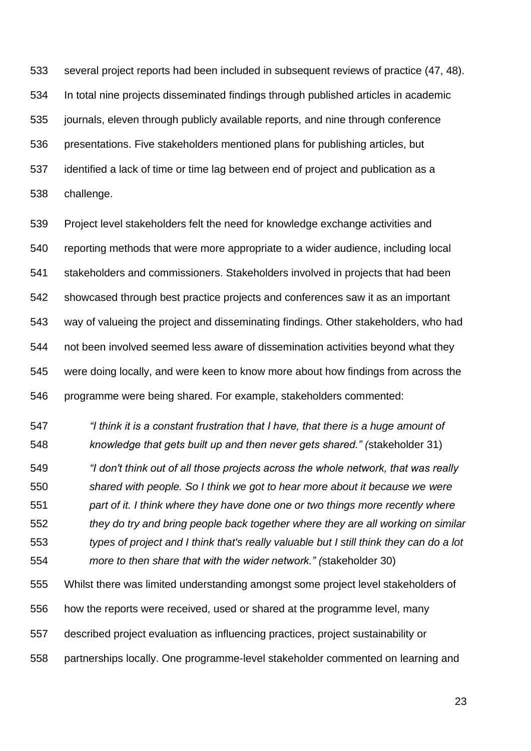several project reports had been included in subsequent reviews of practice (47, 48). In total nine projects disseminated findings through published articles in academic journals, eleven through publicly available reports, and nine through conference presentations. Five stakeholders mentioned plans for publishing articles, but identified a lack of time or time lag between end of project and publication as a challenge.

 Project level stakeholders felt the need for knowledge exchange activities and reporting methods that were more appropriate to a wider audience, including local stakeholders and commissioners. Stakeholders involved in projects that had been showcased through best practice projects and conferences saw it as an important way of valueing the project and disseminating findings. Other stakeholders, who had not been involved seemed less aware of dissemination activities beyond what they were doing locally, and were keen to know more about how findings from across the programme were being shared. For example, stakeholders commented:

 *"I think it is a constant frustration that I have, that there is a huge amount of knowledge that gets built up and then never gets shared." (*stakeholder 31)

 *"I don't think out of all those projects across the whole network, that was really shared with people. So I think we got to hear more about it because we were part of it. I think where they have done one or two things more recently where they do try and bring people back together where they are all working on similar types of project and I think that's really valuable but I still think they can do a lot more to then share that with the wider network." (*stakeholder 30)

 Whilst there was limited understanding amongst some project level stakeholders of how the reports were received, used or shared at the programme level, many described project evaluation as influencing practices, project sustainability or partnerships locally. One programme-level stakeholder commented on learning and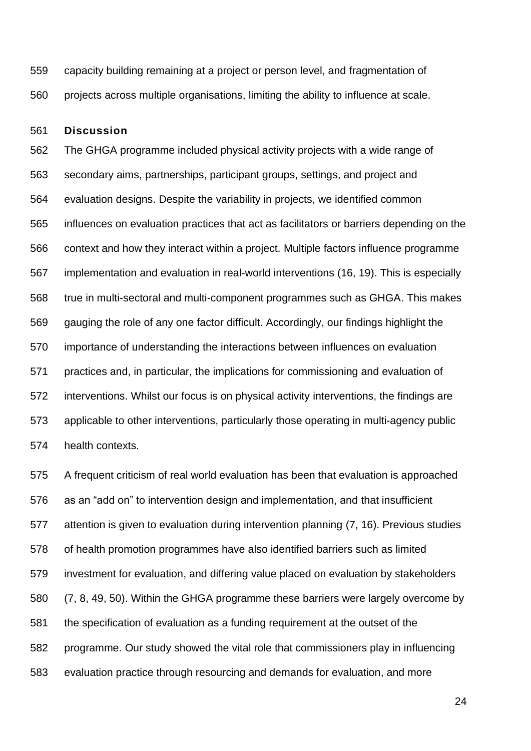capacity building remaining at a project or person level, and fragmentation of projects across multiple organisations, limiting the ability to influence at scale.

#### **Discussion**

 The GHGA programme included physical activity projects with a wide range of secondary aims, partnerships, participant groups, settings, and project and evaluation designs. Despite the variability in projects, we identified common influences on evaluation practices that act as facilitators or barriers depending on the context and how they interact within a project. Multiple factors influence programme implementation and evaluation in real-world interventions (16, 19). This is especially true in multi-sectoral and multi-component programmes such as GHGA. This makes gauging the role of any one factor difficult. Accordingly, our findings highlight the importance of understanding the interactions between influences on evaluation practices and, in particular, the implications for commissioning and evaluation of interventions. Whilst our focus is on physical activity interventions, the findings are applicable to other interventions, particularly those operating in multi-agency public health contexts.

 A frequent criticism of real world evaluation has been that evaluation is approached as an "add on" to intervention design and implementation, and that insufficient attention is given to evaluation during intervention planning (7, 16). Previous studies of health promotion programmes have also identified barriers such as limited investment for evaluation, and differing value placed on evaluation by stakeholders (7, 8, 49, 50). Within the GHGA programme these barriers were largely overcome by the specification of evaluation as a funding requirement at the outset of the programme. Our study showed the vital role that commissioners play in influencing evaluation practice through resourcing and demands for evaluation, and more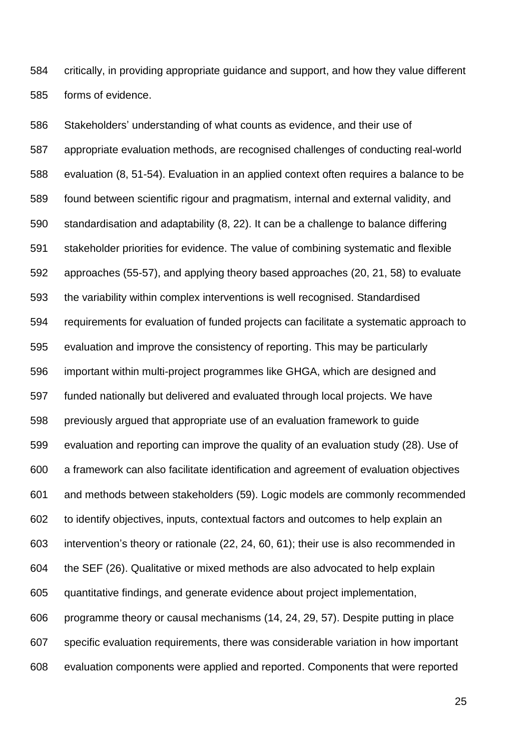critically, in providing appropriate guidance and support, and how they value different forms of evidence.

 Stakeholders' understanding of what counts as evidence, and their use of appropriate evaluation methods, are recognised challenges of conducting real-world evaluation (8, 51-54). Evaluation in an applied context often requires a balance to be found between scientific rigour and pragmatism, internal and external validity, and standardisation and adaptability (8, 22). It can be a challenge to balance differing stakeholder priorities for evidence. The value of combining systematic and flexible approaches (55-57), and applying theory based approaches (20, 21, 58) to evaluate the variability within complex interventions is well recognised. Standardised requirements for evaluation of funded projects can facilitate a systematic approach to evaluation and improve the consistency of reporting. This may be particularly important within multi-project programmes like GHGA, which are designed and funded nationally but delivered and evaluated through local projects. We have previously argued that appropriate use of an evaluation framework to guide evaluation and reporting can improve the quality of an evaluation study (28). Use of a framework can also facilitate identification and agreement of evaluation objectives and methods between stakeholders (59). Logic models are commonly recommended to identify objectives, inputs, contextual factors and outcomes to help explain an intervention's theory or rationale (22, 24, 60, 61); their use is also recommended in the SEF (26). Qualitative or mixed methods are also advocated to help explain quantitative findings, and generate evidence about project implementation, programme theory or causal mechanisms (14, 24, 29, 57). Despite putting in place specific evaluation requirements, there was considerable variation in how important evaluation components were applied and reported. Components that were reported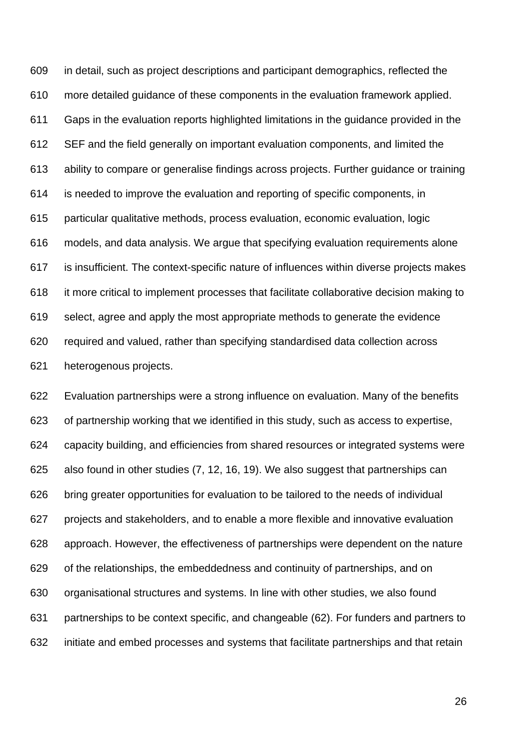in detail, such as project descriptions and participant demographics, reflected the more detailed guidance of these components in the evaluation framework applied. Gaps in the evaluation reports highlighted limitations in the guidance provided in the SEF and the field generally on important evaluation components, and limited the ability to compare or generalise findings across projects. Further guidance or training is needed to improve the evaluation and reporting of specific components, in particular qualitative methods, process evaluation, economic evaluation, logic models, and data analysis. We argue that specifying evaluation requirements alone is insufficient. The context-specific nature of influences within diverse projects makes it more critical to implement processes that facilitate collaborative decision making to select, agree and apply the most appropriate methods to generate the evidence required and valued, rather than specifying standardised data collection across heterogenous projects.

 Evaluation partnerships were a strong influence on evaluation. Many of the benefits of partnership working that we identified in this study, such as access to expertise, capacity building, and efficiencies from shared resources or integrated systems were also found in other studies (7, 12, 16, 19). We also suggest that partnerships can bring greater opportunities for evaluation to be tailored to the needs of individual projects and stakeholders, and to enable a more flexible and innovative evaluation approach. However, the effectiveness of partnerships were dependent on the nature of the relationships, the embeddedness and continuity of partnerships, and on organisational structures and systems. In line with other studies, we also found partnerships to be context specific, and changeable (62). For funders and partners to initiate and embed processes and systems that facilitate partnerships and that retain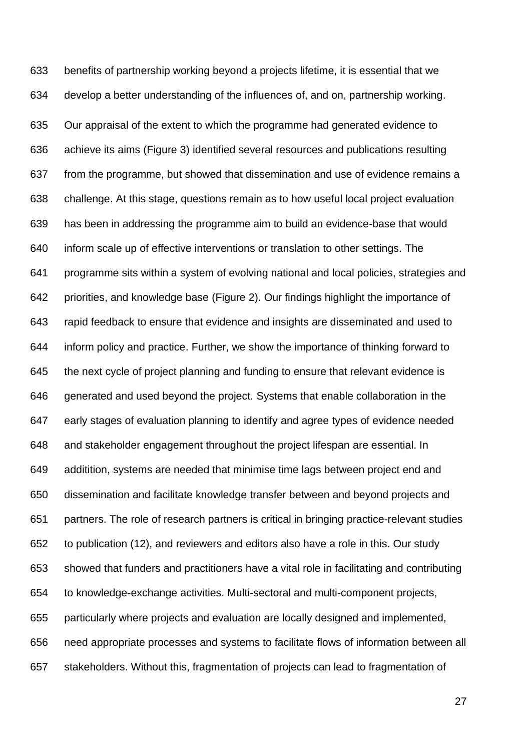benefits of partnership working beyond a projects lifetime, it is essential that we develop a better understanding of the influences of, and on, partnership working. Our appraisal of the extent to which the programme had generated evidence to achieve its aims (Figure 3) identified several resources and publications resulting from the programme, but showed that dissemination and use of evidence remains a challenge. At this stage, questions remain as to how useful local project evaluation has been in addressing the programme aim to build an evidence-base that would inform scale up of effective interventions or translation to other settings. The programme sits within a system of evolving national and local policies, strategies and priorities, and knowledge base (Figure 2). Our findings highlight the importance of rapid feedback to ensure that evidence and insights are disseminated and used to inform policy and practice. Further, we show the importance of thinking forward to the next cycle of project planning and funding to ensure that relevant evidence is generated and used beyond the project. Systems that enable collaboration in the early stages of evaluation planning to identify and agree types of evidence needed and stakeholder engagement throughout the project lifespan are essential. In additition, systems are needed that minimise time lags between project end and dissemination and facilitate knowledge transfer between and beyond projects and partners. The role of research partners is critical in bringing practice-relevant studies to publication (12), and reviewers and editors also have a role in this. Our study showed that funders and practitioners have a vital role in facilitating and contributing to knowledge-exchange activities. Multi-sectoral and multi-component projects, particularly where projects and evaluation are locally designed and implemented, need appropriate processes and systems to facilitate flows of information between all stakeholders. Without this, fragmentation of projects can lead to fragmentation of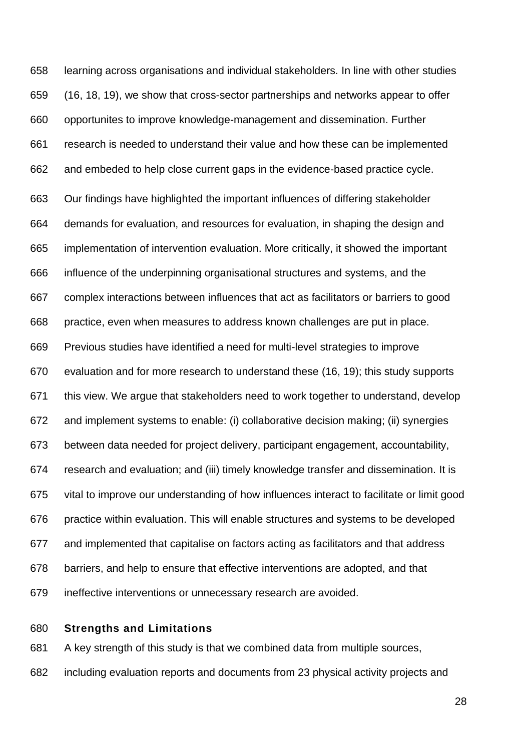learning across organisations and individual stakeholders. In line with other studies (16, 18, 19), we show that cross-sector partnerships and networks appear to offer opportunites to improve knowledge-management and dissemination. Further research is needed to understand their value and how these can be implemented and embeded to help close current gaps in the evidence-based practice cycle. Our findings have highlighted the important influences of differing stakeholder demands for evaluation, and resources for evaluation, in shaping the design and implementation of intervention evaluation. More critically, it showed the important influence of the underpinning organisational structures and systems, and the complex interactions between influences that act as facilitators or barriers to good practice, even when measures to address known challenges are put in place. Previous studies have identified a need for multi-level strategies to improve evaluation and for more research to understand these (16, 19); this study supports this view. We argue that stakeholders need to work together to understand, develop and implement systems to enable: (i) collaborative decision making; (ii) synergies between data needed for project delivery, participant engagement, accountability, research and evaluation; and (iii) timely knowledge transfer and dissemination. It is vital to improve our understanding of how influences interact to facilitate or limit good practice within evaluation. This will enable structures and systems to be developed and implemented that capitalise on factors acting as facilitators and that address barriers, and help to ensure that effective interventions are adopted, and that ineffective interventions or unnecessary research are avoided.

## **Strengths and Limitations**

A key strength of this study is that we combined data from multiple sources,

including evaluation reports and documents from 23 physical activity projects and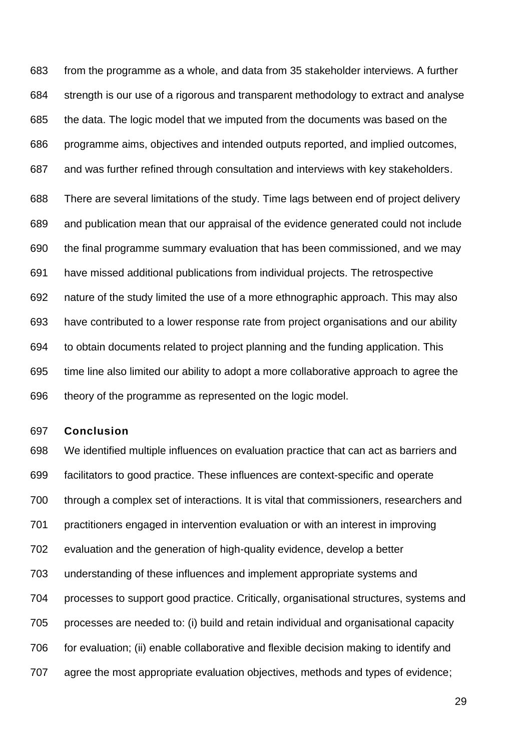from the programme as a whole, and data from 35 stakeholder interviews. A further strength is our use of a rigorous and transparent methodology to extract and analyse the data. The logic model that we imputed from the documents was based on the programme aims, objectives and intended outputs reported, and implied outcomes, and was further refined through consultation and interviews with key stakeholders. There are several limitations of the study. Time lags between end of project delivery and publication mean that our appraisal of the evidence generated could not include the final programme summary evaluation that has been commissioned, and we may have missed additional publications from individual projects. The retrospective nature of the study limited the use of a more ethnographic approach. This may also have contributed to a lower response rate from project organisations and our ability to obtain documents related to project planning and the funding application. This time line also limited our ability to adopt a more collaborative approach to agree the theory of the programme as represented on the logic model.

#### **Conclusion**

 We identified multiple influences on evaluation practice that can act as barriers and facilitators to good practice. These influences are context-specific and operate through a complex set of interactions. It is vital that commissioners, researchers and practitioners engaged in intervention evaluation or with an interest in improving evaluation and the generation of high-quality evidence, develop a better understanding of these influences and implement appropriate systems and processes to support good practice. Critically, organisational structures, systems and processes are needed to: (i) build and retain individual and organisational capacity for evaluation; (ii) enable collaborative and flexible decision making to identify and agree the most appropriate evaluation objectives, methods and types of evidence;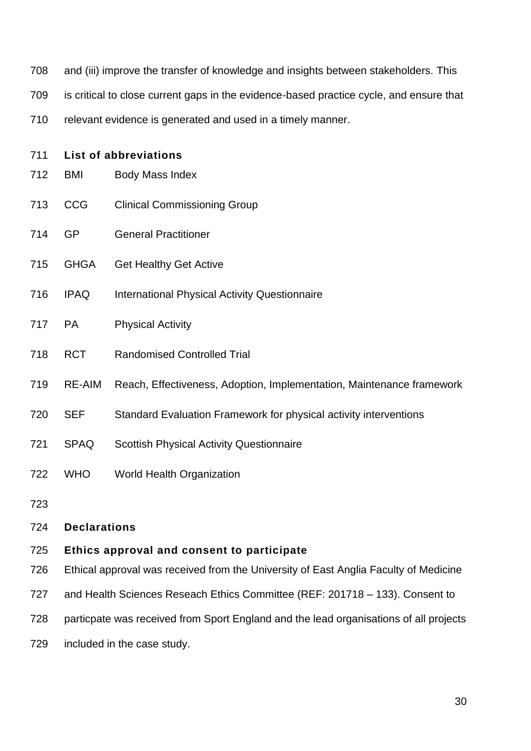- and (iii) improve the transfer of knowledge and insights between stakeholders. This
- is critical to close current gaps in the evidence-based practice cycle, and ensure that
- relevant evidence is generated and used in a timely manner.

| 711 | <b>List of abbreviations</b>               |                                                                       |  |  |  |  |  |  |  |
|-----|--------------------------------------------|-----------------------------------------------------------------------|--|--|--|--|--|--|--|
| 712 | <b>BMI</b>                                 | Body Mass Index                                                       |  |  |  |  |  |  |  |
| 713 | <b>CCG</b>                                 | <b>Clinical Commissioning Group</b>                                   |  |  |  |  |  |  |  |
| 714 | <b>GP</b>                                  | <b>General Practitioner</b>                                           |  |  |  |  |  |  |  |
| 715 | <b>GHGA</b>                                | <b>Get Healthy Get Active</b>                                         |  |  |  |  |  |  |  |
| 716 | <b>IPAQ</b>                                | <b>International Physical Activity Questionnaire</b>                  |  |  |  |  |  |  |  |
| 717 | <b>PA</b>                                  | <b>Physical Activity</b>                                              |  |  |  |  |  |  |  |
| 718 | <b>RCT</b>                                 | <b>Randomised Controlled Trial</b>                                    |  |  |  |  |  |  |  |
| 719 | <b>RE-AIM</b>                              | Reach, Effectiveness, Adoption, Implementation, Maintenance framework |  |  |  |  |  |  |  |
| 720 | <b>SEF</b>                                 | Standard Evaluation Framework for physical activity interventions     |  |  |  |  |  |  |  |
| 721 | <b>SPAQ</b>                                | <b>Scottish Physical Activity Questionnaire</b>                       |  |  |  |  |  |  |  |
| 722 | <b>WHO</b>                                 | World Health Organization                                             |  |  |  |  |  |  |  |
| 723 |                                            |                                                                       |  |  |  |  |  |  |  |
| 724 | <b>Declarations</b>                        |                                                                       |  |  |  |  |  |  |  |
| 725 | Ethics approval and consent to participate |                                                                       |  |  |  |  |  |  |  |

- Ethical approval was received from the University of East Anglia Faculty of Medicine
- and Health Sciences Reseach Ethics Committee (REF: 201718 133). Consent to
- particpate was received from Sport England and the lead organisations of all projects
- included in the case study.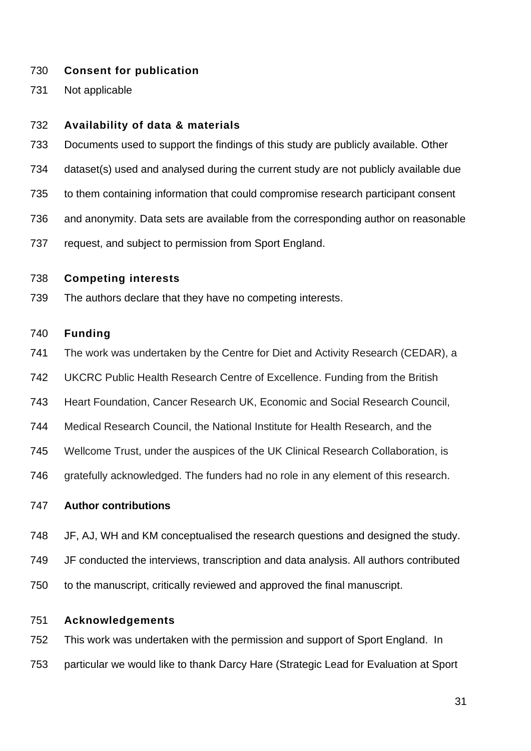## **Consent for publication**

Not applicable

#### **Availability of data & materials**

- Documents used to support the findings of this study are publicly available. Other
- dataset(s) used and analysed during the current study are not publicly available due
- to them containing information that could compromise research participant consent
- and anonymity. Data sets are available from the corresponding author on reasonable
- request, and subject to permission from Sport England.

## **Competing interests**

The authors declare that they have no competing interests.

## **Funding**

- The work was undertaken by the Centre for Diet and Activity Research (CEDAR), a
- UKCRC Public Health Research Centre of Excellence. Funding from the British
- Heart Foundation, Cancer Research UK, Economic and Social Research Council,
- Medical Research Council, the National Institute for Health Research, and the
- Wellcome Trust, under the auspices of the UK Clinical Research Collaboration, is
- 746 gratefully acknowledged. The funders had no role in any element of this research.

## **Author contributions**

- JF, AJ, WH and KM conceptualised the research questions and designed the study.
- JF conducted the interviews, transcription and data analysis. All authors contributed
- to the manuscript, critically reviewed and approved the final manuscript.

## **Acknowledgements**

 This work was undertaken with the permission and support of Sport England. In particular we would like to thank Darcy Hare (Strategic Lead for Evaluation at Sport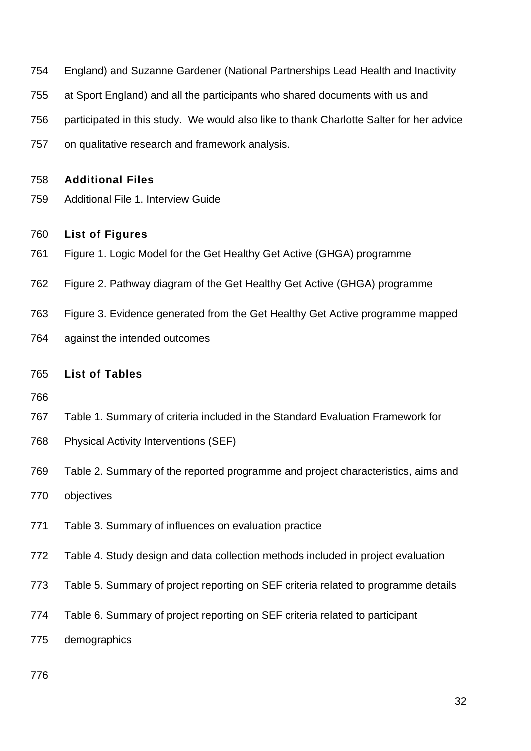- England) and Suzanne Gardener (National Partnerships Lead Health and Inactivity
- at Sport England) and all the participants who shared documents with us and
- participated in this study. We would also like to thank Charlotte Salter for her advice
- on qualitative research and framework analysis.

#### **Additional Files**

Additional File 1. Interview Guide

#### **List of Figures**

- Figure 1. [Logic Model for the Get Healthy Get Active \(GHGA\) programme](#page-32-0)
- Figure 2. [Pathway diagram of the Get Healthy](#page-33-0) Get Active (GHGA) programme
- Figure 3. [Evidence generated from the Get Healthy Get Active programme mapped](file:///C:/Users/judith/Documents/Draft%20chapter%204%20Final%20Draft.docx%23_Toc50991725)
- [against the intended outcomes](file:///C:/Users/judith/Documents/Draft%20chapter%204%20Final%20Draft.docx%23_Toc50991725)

## **List of Tables**

- 
- Table 1. Summary of criteria included in the Standard Evaluation Framework for
- Physical Activity Interventions (SEF)
- Table 2. Summary of the reported programme and project characteristics, aims and
- objectives
- Table 3. Summary of influences on evaluation practice
- Table 4. Study design and data collection methods included in project evaluation
- Table 5. Summary of project reporting on SEF criteria related to programme details
- Table 6. Summary of project reporting on SEF criteria related to participant
- demographics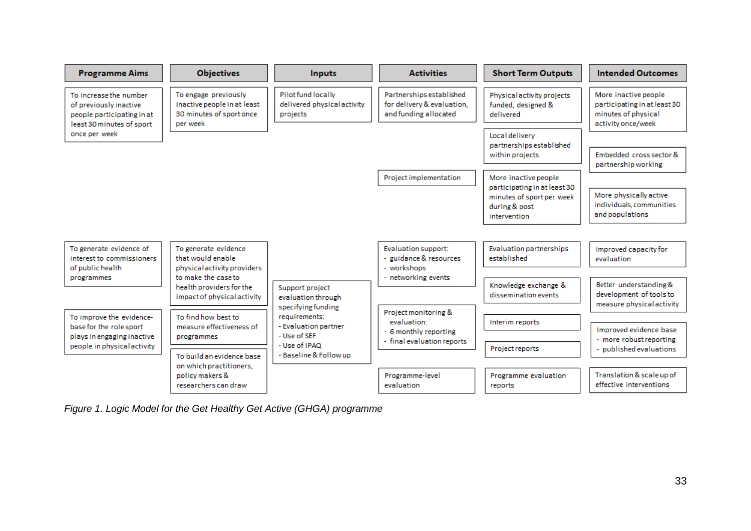

<span id="page-32-0"></span>*Figure 1. Logic Model for the Get Healthy Get Active (GHGA) programme*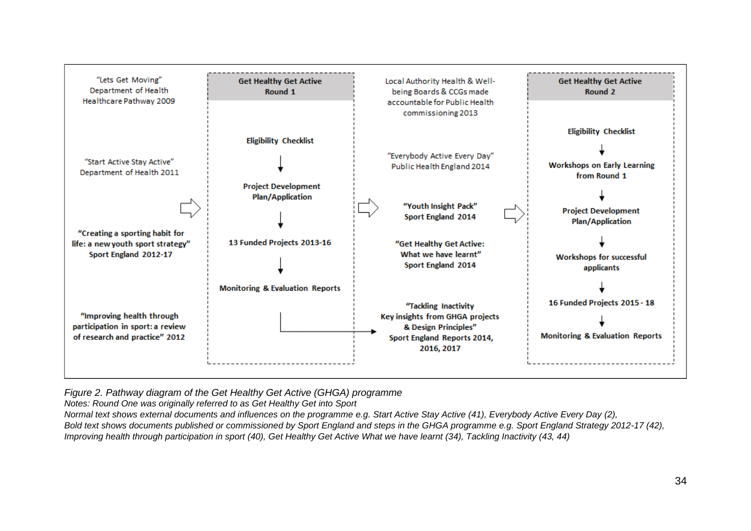

*Figure 2. Pathway diagram of the Get Healthy Get Active (GHGA) programme*

*Notes: Round One was originally referred to as Get Healthy Get into Sport*

*Normal text shows external documents and influences on the programme e.g. Start Active Stay Active (41), Everybody Active Every Day (2),*

<span id="page-33-0"></span>*Bold text shows documents published or commissioned by Sport England and steps in the GHGA programme e.g. Sport England Strategy 2012-17 (42), Improving health through participation in sport (40), Get Healthy Get Active What we have learnt (34), Tackling Inactivity (43, 44)*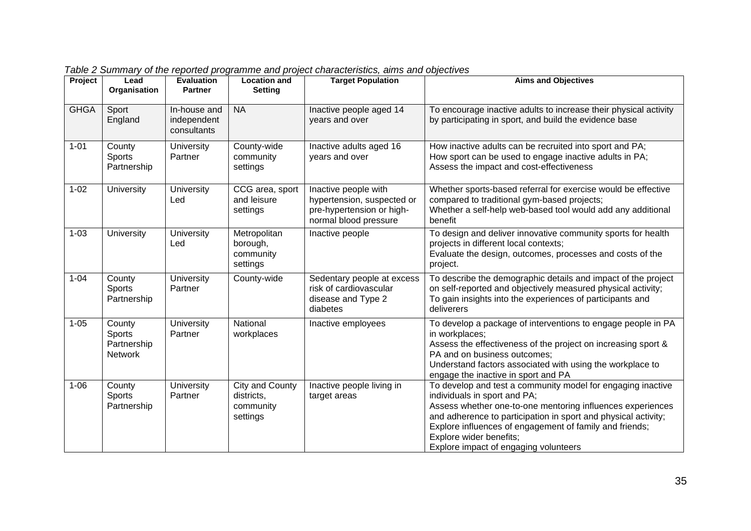| Project     | Lead<br>Organisation                       | <b>Evaluation</b><br><b>Partner</b>        | <b>Location and</b><br><b>Setting</b>                  | <b>Target Population</b>                                                                                 | <b>Aims and Objectives</b>                                                                                                                                                                                                                                                                                                                                 |
|-------------|--------------------------------------------|--------------------------------------------|--------------------------------------------------------|----------------------------------------------------------------------------------------------------------|------------------------------------------------------------------------------------------------------------------------------------------------------------------------------------------------------------------------------------------------------------------------------------------------------------------------------------------------------------|
| <b>GHGA</b> | Sport<br>England                           | In-house and<br>independent<br>consultants | <b>NA</b>                                              | Inactive people aged 14<br>years and over                                                                | To encourage inactive adults to increase their physical activity<br>by participating in sport, and build the evidence base                                                                                                                                                                                                                                 |
| $1 - 01$    | County<br>Sports<br>Partnership            | University<br>Partner                      | County-wide<br>community<br>settings                   | Inactive adults aged 16<br>years and over                                                                | How inactive adults can be recruited into sport and PA;<br>How sport can be used to engage inactive adults in PA;<br>Assess the impact and cost-effectiveness                                                                                                                                                                                              |
| $1 - 02$    | University                                 | <b>University</b><br>Led                   | CCG area, sport<br>and leisure<br>settings             | Inactive people with<br>hypertension, suspected or<br>pre-hypertension or high-<br>normal blood pressure | Whether sports-based referral for exercise would be effective<br>compared to traditional gym-based projects;<br>Whether a self-help web-based tool would add any additional<br>benefit                                                                                                                                                                     |
| $1 - 03$    | <b>University</b>                          | University<br>Led                          | Metropolitan<br>borough,<br>community<br>settings      | Inactive people                                                                                          | To design and deliver innovative community sports for health<br>projects in different local contexts;<br>Evaluate the design, outcomes, processes and costs of the<br>project.                                                                                                                                                                             |
| $1 - 04$    | County<br><b>Sports</b><br>Partnership     | <b>University</b><br>Partner               | County-wide                                            | Sedentary people at excess<br>risk of cardiovascular<br>disease and Type 2<br>diabetes                   | To describe the demographic details and impact of the project<br>on self-reported and objectively measured physical activity;<br>To gain insights into the experiences of participants and<br>deliverers                                                                                                                                                   |
| $1 - 05$    | County<br>Sports<br>Partnership<br>Network | University<br>Partner                      | National<br>workplaces                                 | Inactive employees                                                                                       | To develop a package of interventions to engage people in PA<br>in workplaces;<br>Assess the effectiveness of the project on increasing sport &<br>PA and on business outcomes;<br>Understand factors associated with using the workplace to<br>engage the inactive in sport and PA                                                                        |
| $1 - 06$    | County<br>Sports<br>Partnership            | University<br>Partner                      | City and County<br>districts,<br>community<br>settings | Inactive people living in<br>target areas                                                                | To develop and test a community model for engaging inactive<br>individuals in sport and PA;<br>Assess whether one-to-one mentoring influences experiences<br>and adherence to participation in sport and physical activity;<br>Explore influences of engagement of family and friends;<br>Explore wider benefits;<br>Explore impact of engaging volunteers |

*Table 2 Summary of the reported programme and project characteristics, aims and objectives*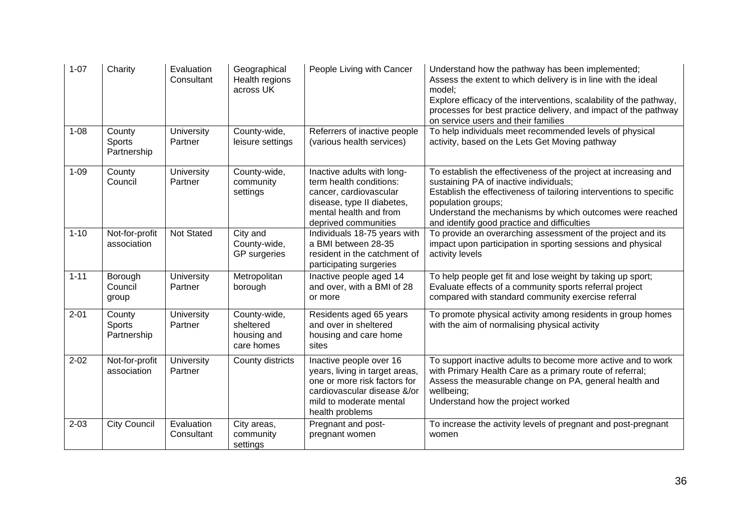| $1 - 07$ | Charity                                | Evaluation<br>Consultant     | Geographical<br>Health regions<br>across UK            | People Living with Cancer                                                                                                                                              | Understand how the pathway has been implemented;<br>Assess the extent to which delivery is in line with the ideal<br>model;<br>Explore efficacy of the interventions, scalability of the pathway,<br>processes for best practice delivery, and impact of the pathway<br>on service users and their families      |
|----------|----------------------------------------|------------------------------|--------------------------------------------------------|------------------------------------------------------------------------------------------------------------------------------------------------------------------------|------------------------------------------------------------------------------------------------------------------------------------------------------------------------------------------------------------------------------------------------------------------------------------------------------------------|
| $1 - 08$ | County<br><b>Sports</b><br>Partnership | University<br>Partner        | County-wide,<br>leisure settings                       | Referrers of inactive people<br>(various health services)                                                                                                              | To help individuals meet recommended levels of physical<br>activity, based on the Lets Get Moving pathway                                                                                                                                                                                                        |
| $1 - 09$ | County<br>Council                      | University<br>Partner        | County-wide,<br>community<br>settings                  | Inactive adults with long-<br>term health conditions:<br>cancer, cardiovascular<br>disease, type II diabetes,<br>mental health and from<br>deprived communities        | To establish the effectiveness of the project at increasing and<br>sustaining PA of inactive individuals;<br>Establish the effectiveness of tailoring interventions to specific<br>population groups;<br>Understand the mechanisms by which outcomes were reached<br>and identify good practice and difficulties |
| $1 - 10$ | Not-for-profit<br>association          | Not Stated                   | City and<br>County-wide,<br><b>GP</b> surgeries        | Individuals 18-75 years with<br>a BMI between 28-35<br>resident in the catchment of<br>participating surgeries                                                         | To provide an overarching assessment of the project and its<br>impact upon participation in sporting sessions and physical<br>activity levels                                                                                                                                                                    |
| $1 - 11$ | Borough<br>Council<br>group            | University<br>Partner        | Metropolitan<br>borough                                | Inactive people aged 14<br>and over, with a BMI of 28<br>or more                                                                                                       | To help people get fit and lose weight by taking up sport;<br>Evaluate effects of a community sports referral project<br>compared with standard community exercise referral                                                                                                                                      |
| $2 - 01$ | County<br>Sports<br>Partnership        | <b>University</b><br>Partner | County-wide,<br>sheltered<br>housing and<br>care homes | Residents aged 65 years<br>and over in sheltered<br>housing and care home<br>sites                                                                                     | To promote physical activity among residents in group homes<br>with the aim of normalising physical activity                                                                                                                                                                                                     |
| $2 - 02$ | Not-for-profit<br>association          | University<br>Partner        | County districts                                       | Inactive people over 16<br>years, living in target areas,<br>one or more risk factors for<br>cardiovascular disease &/or<br>mild to moderate mental<br>health problems | To support inactive adults to become more active and to work<br>with Primary Health Care as a primary route of referral;<br>Assess the measurable change on PA, general health and<br>wellbeing;<br>Understand how the project worked                                                                            |
| $2 - 03$ | <b>City Council</b>                    | Evaluation<br>Consultant     | City areas,<br>community<br>settings                   | Pregnant and post-<br>pregnant women                                                                                                                                   | To increase the activity levels of pregnant and post-pregnant<br>women                                                                                                                                                                                                                                           |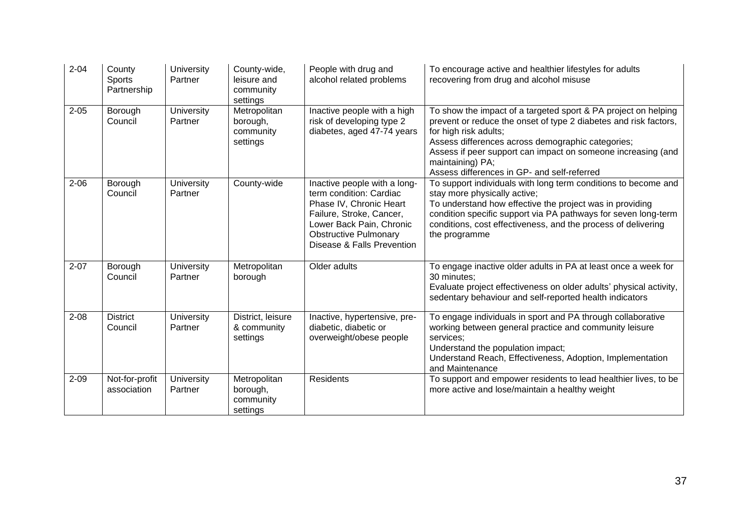| $2 - 04$ | County<br><b>Sports</b><br>Partnership | <b>University</b><br>Partner | County-wide,<br>leisure and<br>community<br>settings | People with drug and<br>alcohol related problems                                                                                                                                                         | To encourage active and healthier lifestyles for adults<br>recovering from drug and alcohol misuse                                                                                                                                                                                                                                                  |
|----------|----------------------------------------|------------------------------|------------------------------------------------------|----------------------------------------------------------------------------------------------------------------------------------------------------------------------------------------------------------|-----------------------------------------------------------------------------------------------------------------------------------------------------------------------------------------------------------------------------------------------------------------------------------------------------------------------------------------------------|
| $2 - 05$ | Borough<br>Council                     | <b>University</b><br>Partner | Metropolitan<br>borough,<br>community<br>settings    | Inactive people with a high<br>risk of developing type 2<br>diabetes, aged 47-74 years                                                                                                                   | To show the impact of a targeted sport & PA project on helping<br>prevent or reduce the onset of type 2 diabetes and risk factors,<br>for high risk adults;<br>Assess differences across demographic categories;<br>Assess if peer support can impact on someone increasing (and<br>maintaining) PA;<br>Assess differences in GP- and self-referred |
| $2 - 06$ | Borough<br>Council                     | <b>University</b><br>Partner | County-wide                                          | Inactive people with a long-<br>term condition: Cardiac<br>Phase IV, Chronic Heart<br>Failure, Stroke, Cancer,<br>Lower Back Pain, Chronic<br><b>Obstructive Pulmonary</b><br>Disease & Falls Prevention | To support individuals with long term conditions to become and<br>stay more physically active;<br>To understand how effective the project was in providing<br>condition specific support via PA pathways for seven long-term<br>conditions, cost effectiveness, and the process of delivering<br>the programme                                      |
| $2 - 07$ | Borough<br>Council                     | University<br>Partner        | Metropolitan<br>borough                              | Older adults                                                                                                                                                                                             | To engage inactive older adults in PA at least once a week for<br>30 minutes:<br>Evaluate project effectiveness on older adults' physical activity,<br>sedentary behaviour and self-reported health indicators                                                                                                                                      |
| $2 - 08$ | <b>District</b><br>Council             | <b>University</b><br>Partner | District, leisure<br>& community<br>settings         | Inactive, hypertensive, pre-<br>diabetic, diabetic or<br>overweight/obese people                                                                                                                         | To engage individuals in sport and PA through collaborative<br>working between general practice and community leisure<br>services;<br>Understand the population impact;<br>Understand Reach, Effectiveness, Adoption, Implementation<br>and Maintenance                                                                                             |
| $2 - 09$ | Not-for-profit<br>association          | University<br>Partner        | Metropolitan<br>borough,<br>community<br>settings    | Residents                                                                                                                                                                                                | To support and empower residents to lead healthier lives, to be<br>more active and lose/maintain a healthy weight                                                                                                                                                                                                                                   |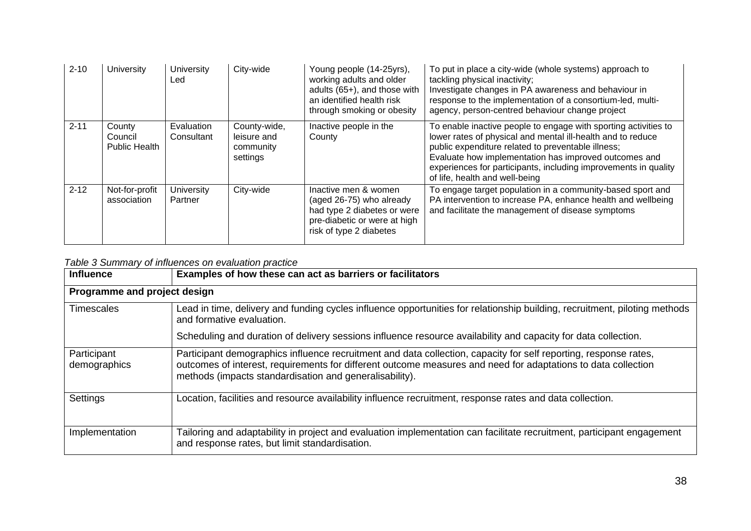| $2 - 10$ | <b>University</b>                         | <b>University</b><br>Led | City-wide                                            | Young people (14-25yrs),<br>working adults and older<br>adults (65+), and those with<br>an identified health risk<br>through smoking or obesity | To put in place a city-wide (whole systems) approach to<br>tackling physical inactivity;<br>Investigate changes in PA awareness and behaviour in<br>response to the implementation of a consortium-led, multi-<br>agency, person-centred behaviour change project                                                                                  |
|----------|-------------------------------------------|--------------------------|------------------------------------------------------|-------------------------------------------------------------------------------------------------------------------------------------------------|----------------------------------------------------------------------------------------------------------------------------------------------------------------------------------------------------------------------------------------------------------------------------------------------------------------------------------------------------|
| $2 - 11$ | County<br>Council<br><b>Public Health</b> | Evaluation<br>Consultant | County-wide,<br>leisure and<br>community<br>settings | Inactive people in the<br>County                                                                                                                | To enable inactive people to engage with sporting activities to<br>lower rates of physical and mental ill-health and to reduce<br>public expenditure related to preventable illness;<br>Evaluate how implementation has improved outcomes and<br>experiences for participants, including improvements in quality<br>of life, health and well-being |
| $2 - 12$ | Not-for-profit<br>association             | University<br>Partner    | City-wide                                            | Inactive men & women<br>(aged 26-75) who already<br>had type 2 diabetes or were<br>pre-diabetic or were at high<br>risk of type 2 diabetes      | To engage target population in a community-based sport and<br>PA intervention to increase PA, enhance health and wellbeing<br>and facilitate the management of disease symptoms                                                                                                                                                                    |

# *Table 3 Summary of influences on evaluation practice*

| <b>Influence</b>             | Examples of how these can act as barriers or facilitators                                                                                                                                                                                                                                    |  |  |  |  |  |  |  |  |  |
|------------------------------|----------------------------------------------------------------------------------------------------------------------------------------------------------------------------------------------------------------------------------------------------------------------------------------------|--|--|--|--|--|--|--|--|--|
| Programme and project design |                                                                                                                                                                                                                                                                                              |  |  |  |  |  |  |  |  |  |
| <b>Timescales</b>            | Lead in time, delivery and funding cycles influence opportunities for relationship building, recruitment, piloting methods<br>and formative evaluation.                                                                                                                                      |  |  |  |  |  |  |  |  |  |
|                              | Scheduling and duration of delivery sessions influence resource availability and capacity for data collection.                                                                                                                                                                               |  |  |  |  |  |  |  |  |  |
| Participant<br>demographics  | Participant demographics influence recruitment and data collection, capacity for self reporting, response rates,<br>outcomes of interest, requirements for different outcome measures and need for adaptations to data collection<br>methods (impacts standardisation and generalisability). |  |  |  |  |  |  |  |  |  |
| Settings                     | Location, facilities and resource availability influence recruitment, response rates and data collection.                                                                                                                                                                                    |  |  |  |  |  |  |  |  |  |
| Implementation               | Tailoring and adaptability in project and evaluation implementation can facilitate recruitment, participant engagement<br>and response rates, but limit standardisation.                                                                                                                     |  |  |  |  |  |  |  |  |  |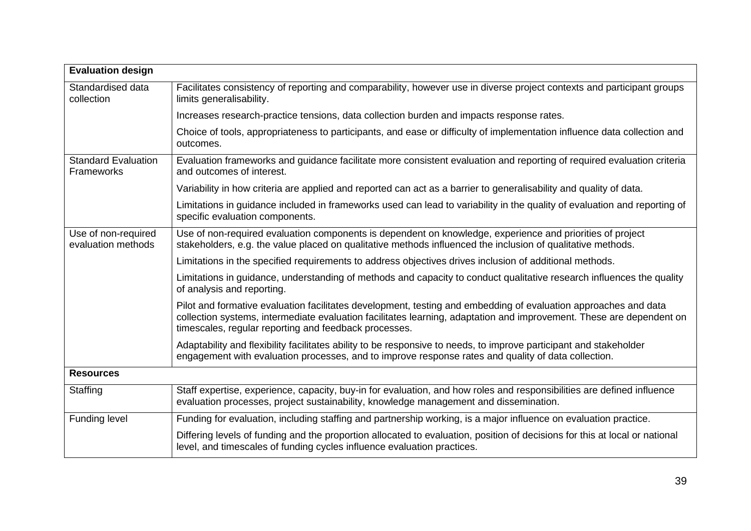| <b>Evaluation design</b>                  |                                                                                                                                                                                                                                                                                                  |
|-------------------------------------------|--------------------------------------------------------------------------------------------------------------------------------------------------------------------------------------------------------------------------------------------------------------------------------------------------|
| Standardised data<br>collection           | Facilitates consistency of reporting and comparability, however use in diverse project contexts and participant groups<br>limits generalisability.                                                                                                                                               |
|                                           | Increases research-practice tensions, data collection burden and impacts response rates.                                                                                                                                                                                                         |
|                                           | Choice of tools, appropriateness to participants, and ease or difficulty of implementation influence data collection and<br>outcomes.                                                                                                                                                            |
| <b>Standard Evaluation</b><br>Frameworks  | Evaluation frameworks and guidance facilitate more consistent evaluation and reporting of required evaluation criteria<br>and outcomes of interest.                                                                                                                                              |
|                                           | Variability in how criteria are applied and reported can act as a barrier to generalisability and quality of data.                                                                                                                                                                               |
|                                           | Limitations in guidance included in frameworks used can lead to variability in the quality of evaluation and reporting of<br>specific evaluation components.                                                                                                                                     |
| Use of non-required<br>evaluation methods | Use of non-required evaluation components is dependent on knowledge, experience and priorities of project<br>stakeholders, e.g. the value placed on qualitative methods influenced the inclusion of qualitative methods.                                                                         |
|                                           | Limitations in the specified requirements to address objectives drives inclusion of additional methods.                                                                                                                                                                                          |
|                                           | Limitations in guidance, understanding of methods and capacity to conduct qualitative research influences the quality<br>of analysis and reporting.                                                                                                                                              |
|                                           | Pilot and formative evaluation facilitates development, testing and embedding of evaluation approaches and data<br>collection systems, intermediate evaluation facilitates learning, adaptation and improvement. These are dependent on<br>timescales, regular reporting and feedback processes. |
|                                           | Adaptability and flexibility facilitates ability to be responsive to needs, to improve participant and stakeholder<br>engagement with evaluation processes, and to improve response rates and quality of data collection.                                                                        |
| <b>Resources</b>                          |                                                                                                                                                                                                                                                                                                  |
| Staffing                                  | Staff expertise, experience, capacity, buy-in for evaluation, and how roles and responsibilities are defined influence<br>evaluation processes, project sustainability, knowledge management and dissemination.                                                                                  |
| <b>Funding level</b>                      | Funding for evaluation, including staffing and partnership working, is a major influence on evaluation practice.                                                                                                                                                                                 |
|                                           | Differing levels of funding and the proportion allocated to evaluation, position of decisions for this at local or national<br>level, and timescales of funding cycles influence evaluation practices.                                                                                           |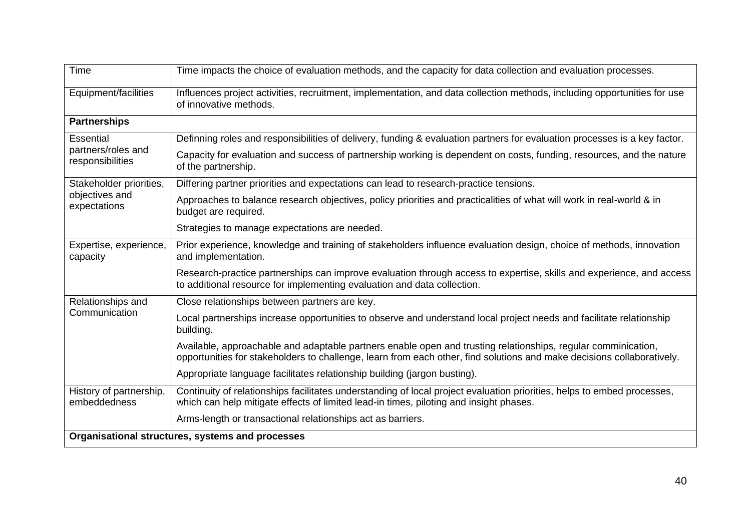| Time                                             | Time impacts the choice of evaluation methods, and the capacity for data collection and evaluation processes.                                                                                                                           |  |  |  |  |  |  |  |  |
|--------------------------------------------------|-----------------------------------------------------------------------------------------------------------------------------------------------------------------------------------------------------------------------------------------|--|--|--|--|--|--|--|--|
| Equipment/facilities                             | Influences project activities, recruitment, implementation, and data collection methods, including opportunities for use<br>of innovative methods.                                                                                      |  |  |  |  |  |  |  |  |
| <b>Partnerships</b>                              |                                                                                                                                                                                                                                         |  |  |  |  |  |  |  |  |
| <b>Essential</b>                                 | Definning roles and responsibilities of delivery, funding & evaluation partners for evaluation processes is a key factor.                                                                                                               |  |  |  |  |  |  |  |  |
| partners/roles and<br>responsibilities           | Capacity for evaluation and success of partnership working is dependent on costs, funding, resources, and the nature<br>of the partnership.                                                                                             |  |  |  |  |  |  |  |  |
| Stakeholder priorities,                          | Differing partner priorities and expectations can lead to research-practice tensions.                                                                                                                                                   |  |  |  |  |  |  |  |  |
| objectives and<br>expectations                   | Approaches to balance research objectives, policy priorities and practicalities of what will work in real-world & in<br>budget are required.                                                                                            |  |  |  |  |  |  |  |  |
|                                                  | Strategies to manage expectations are needed.                                                                                                                                                                                           |  |  |  |  |  |  |  |  |
| Expertise, experience,<br>capacity               | Prior experience, knowledge and training of stakeholders influence evaluation design, choice of methods, innovation<br>and implementation.                                                                                              |  |  |  |  |  |  |  |  |
|                                                  | Research-practice partnerships can improve evaluation through access to expertise, skills and experience, and access<br>to additional resource for implementing evaluation and data collection.                                         |  |  |  |  |  |  |  |  |
| Relationships and                                | Close relationships between partners are key.                                                                                                                                                                                           |  |  |  |  |  |  |  |  |
| Communication                                    | Local partnerships increase opportunities to observe and understand local project needs and facilitate relationship<br>building.                                                                                                        |  |  |  |  |  |  |  |  |
|                                                  | Available, approachable and adaptable partners enable open and trusting relationships, regular comminication,<br>opportunities for stakeholders to challenge, learn from each other, find solutions and make decisions collaboratively. |  |  |  |  |  |  |  |  |
|                                                  | Appropriate language facilitates relationship building (jargon busting).                                                                                                                                                                |  |  |  |  |  |  |  |  |
| History of partnership,<br>embeddedness          | Continuity of relationships facilitates understanding of local project evaluation priorities, helps to embed processes,<br>which can help mitigate effects of limited lead-in times, piloting and insight phases.                       |  |  |  |  |  |  |  |  |
|                                                  | Arms-length or transactional relationships act as barriers.                                                                                                                                                                             |  |  |  |  |  |  |  |  |
| Organisational structures, systems and processes |                                                                                                                                                                                                                                         |  |  |  |  |  |  |  |  |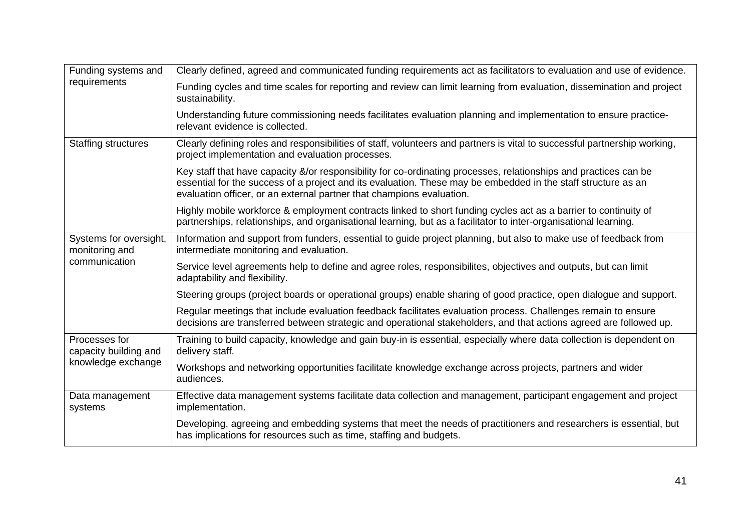| Funding systems and                      | Clearly defined, agreed and communicated funding requirements act as facilitators to evaluation and use of evidence.                                                                                                                                                                                       |  |  |  |  |  |  |
|------------------------------------------|------------------------------------------------------------------------------------------------------------------------------------------------------------------------------------------------------------------------------------------------------------------------------------------------------------|--|--|--|--|--|--|
| requirements                             | Funding cycles and time scales for reporting and review can limit learning from evaluation, dissemination and project<br>sustainability.                                                                                                                                                                   |  |  |  |  |  |  |
|                                          | Understanding future commissioning needs facilitates evaluation planning and implementation to ensure practice-<br>relevant evidence is collected.                                                                                                                                                         |  |  |  |  |  |  |
| <b>Staffing structures</b>               | Clearly defining roles and responsibilities of staff, volunteers and partners is vital to successful partnership working,<br>project implementation and evaluation processes.                                                                                                                              |  |  |  |  |  |  |
|                                          | Key staff that have capacity &/or responsibility for co-ordinating processes, relationships and practices can be<br>essential for the success of a project and its evaluation. These may be embedded in the staff structure as an<br>evaluation officer, or an external partner that champions evaluation. |  |  |  |  |  |  |
|                                          | Highly mobile workforce & employment contracts linked to short funding cycles act as a barrier to continuity of<br>partnerships, relationships, and organisational learning, but as a facilitator to inter-organisational learning.                                                                        |  |  |  |  |  |  |
| Systems for oversight,<br>monitoring and | Information and support from funders, essential to guide project planning, but also to make use of feedback from<br>intermediate monitoring and evaluation.                                                                                                                                                |  |  |  |  |  |  |
| communication                            | Service level agreements help to define and agree roles, responsibilites, objectives and outputs, but can limit<br>adaptability and flexibility.                                                                                                                                                           |  |  |  |  |  |  |
|                                          | Steering groups (project boards or operational groups) enable sharing of good practice, open dialogue and support.                                                                                                                                                                                         |  |  |  |  |  |  |
|                                          | Regular meetings that include evaluation feedback facilitates evaluation process. Challenges remain to ensure<br>decisions are transferred between strategic and operational stakeholders, and that actions agreed are followed up.                                                                        |  |  |  |  |  |  |
| Processes for<br>capacity building and   | Training to build capacity, knowledge and gain buy-in is essential, especially where data collection is dependent on<br>delivery staff.                                                                                                                                                                    |  |  |  |  |  |  |
| knowledge exchange                       | Workshops and networking opportunities facilitate knowledge exchange across projects, partners and wider<br>audiences.                                                                                                                                                                                     |  |  |  |  |  |  |
| Data management<br>systems               | Effective data management systems facilitate data collection and management, participant engagement and project<br>implementation.                                                                                                                                                                         |  |  |  |  |  |  |
|                                          | Developing, agreeing and embedding systems that meet the needs of practitioners and researchers is essential, but<br>has implications for resources such as time, staffing and budgets.                                                                                                                    |  |  |  |  |  |  |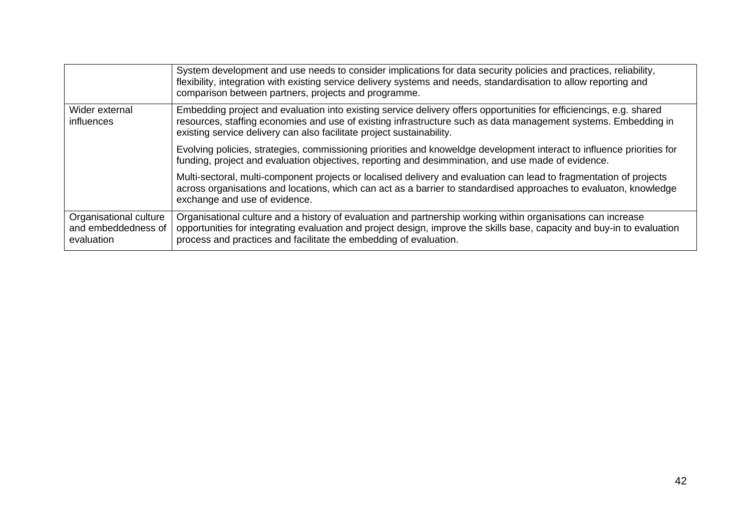|                                                             | System development and use needs to consider implications for data security policies and practices, reliability,<br>flexibility, integration with existing service delivery systems and needs, standardisation to allow reporting and<br>comparison between partners, projects and programme.                  |
|-------------------------------------------------------------|----------------------------------------------------------------------------------------------------------------------------------------------------------------------------------------------------------------------------------------------------------------------------------------------------------------|
| Wider external<br><i>influences</i>                         | Embedding project and evaluation into existing service delivery offers opportunities for efficiencings, e.g. shared<br>resources, staffing economies and use of existing infrastructure such as data management systems. Embedding in<br>existing service delivery can also facilitate project sustainability. |
|                                                             | Evolving policies, strategies, commissioning priorities and knoweldge development interact to influence priorities for<br>funding, project and evaluation objectives, reporting and desimmination, and use made of evidence.                                                                                   |
|                                                             | Multi-sectoral, multi-component projects or localised delivery and evaluation can lead to fragmentation of projects<br>across organisations and locations, which can act as a barrier to standardised approaches to evaluaton, knowledge<br>exchange and use of evidence.                                      |
| Organisational culture<br>and embeddedness of<br>evaluation | Organisational culture and a history of evaluation and partnership working within organisations can increase<br>opportunities for integrating evaluation and project design, improve the skills base, capacity and buy-in to evaluation<br>process and practices and facilitate the embedding of evaluation.   |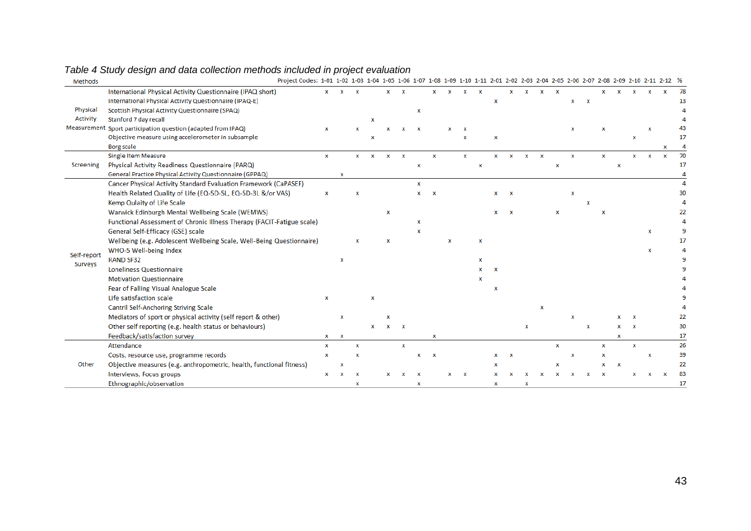| Methods     | Project Codes: 1-01 1-02 1-03 1-04 1-05 1-06 1-07 1-08 1-09 1-10 1-11 2-01 2-02 2-03 2-04 2-05 2-06 2-07 2-08 2-09 2-10 2-11 2-12 % |   |             |   |             |                           |              |   |                           |   |   |   |   |                           |   |             |   |   |              |             |   |   |             |   |    |
|-------------|-------------------------------------------------------------------------------------------------------------------------------------|---|-------------|---|-------------|---------------------------|--------------|---|---------------------------|---|---|---|---|---------------------------|---|-------------|---|---|--------------|-------------|---|---|-------------|---|----|
|             | International Physical Activity Questionnaire (IPAQ short)                                                                          | x |             |   |             |                           |              |   |                           | x | x |   |   |                           |   |             |   |   |              |             |   |   | x           | x | 78 |
|             | International Physical Activity Questionnaire (IPAQ-E)                                                                              |   |             |   |             |                           |              |   |                           |   |   |   | x |                           |   |             |   | x | $\mathbf{x}$ |             |   |   |             |   | 13 |
| Physical    | Scottish Physical Activity Questionnaire (SPAQ)                                                                                     |   |             |   |             |                           |              | x |                           |   |   |   |   |                           |   |             |   |   |              |             |   |   |             |   |    |
| Activity    | Stanford 7 day recall                                                                                                               |   |             |   | x           |                           |              |   |                           |   |   |   |   |                           |   |             |   |   |              |             |   |   |             |   |    |
|             | Measurement Sport participation question (adapted from IPAQ)                                                                        | x |             |   |             |                           |              |   |                           |   |   |   |   |                           |   |             |   |   |              |             |   |   |             |   |    |
|             | Objective measure using accelerometer in subsample                                                                                  |   |             |   | x           |                           |              |   |                           |   | x |   | x |                           |   |             |   |   |              |             |   | x |             |   | 17 |
|             | <b>Borg scale</b>                                                                                                                   |   |             |   |             |                           |              |   |                           |   |   |   |   |                           |   |             |   |   |              |             |   |   |             |   |    |
|             | <b>Single Item Measure</b>                                                                                                          | x |             | x | $\mathbf x$ | $\boldsymbol{\mathsf{x}}$ | $\mathbf{x}$ |   | $\mathbf x$               |   | x |   | x | $\mathbf{x}$              | x | $\mathbf x$ |   | x |              | $\mathbf x$ |   | × |             | × | 70 |
| Screening   | Physical Activity Readiness Questionnaire (PARQ)                                                                                    |   |             |   |             |                           |              | x |                           |   |   | x |   |                           |   |             | x |   |              |             | x |   |             |   | 17 |
|             | General Practice Physical Activity Questionnaire (GPPAQ)                                                                            |   | x           |   |             |                           |              |   |                           |   |   |   |   |                           |   |             |   |   |              |             |   |   |             |   |    |
|             | Cancer Physical Activity Standard Evaluation Framework (CaPASEF)                                                                    |   |             |   |             |                           |              | x |                           |   |   |   |   |                           |   |             |   |   |              |             |   |   |             |   |    |
|             | Health Related Quality of Life (EQ-5D-5L, EQ-5D-3L &/or VAS)                                                                        | x |             | x |             |                           |              | x | $\mathbf x$               |   |   |   | x | $\boldsymbol{\mathsf{x}}$ |   |             |   | x |              |             |   |   |             |   | 30 |
|             | Kemp Qulaity of Life Scale                                                                                                          |   |             |   |             |                           |              |   |                           |   |   |   |   |                           |   |             |   |   |              |             |   |   |             |   |    |
|             | Warwick Edinburgh Mental Wellbeing Scale (WEMWS)                                                                                    |   |             |   |             | x                         |              |   |                           |   |   |   |   |                           |   |             |   |   |              |             |   |   |             |   |    |
|             | Functional Assessment of Chronic Illness Therapy (FACIT-Fatigue scale)                                                              |   |             |   |             |                           |              | x |                           |   |   |   |   |                           |   |             |   |   |              |             |   |   |             |   |    |
|             | General Self-Efficacy (GSE) scale                                                                                                   |   |             |   |             |                           |              | x |                           |   |   |   |   |                           |   |             |   |   |              |             |   |   | $\mathbf x$ |   |    |
|             | Wellbeing (e.g. Adolescent Wellbeing Scale, Well-Being Questionnaire)                                                               |   |             |   |             |                           |              |   |                           | x |   | x |   |                           |   |             |   |   |              |             |   |   |             |   |    |
|             | WHO-5 Well-being Index                                                                                                              |   |             |   |             |                           |              |   |                           |   |   |   |   |                           |   |             |   |   |              |             |   |   | x           |   |    |
| Self-report | <b>RAND SF32</b>                                                                                                                    |   | x           |   |             |                           |              |   |                           |   |   |   |   |                           |   |             |   |   |              |             |   |   |             |   |    |
| Surveys     | <b>Loneliness Questionnaire</b>                                                                                                     |   |             |   |             |                           |              |   |                           |   |   |   |   |                           |   |             |   |   |              |             |   |   |             |   |    |
|             | <b>Motivation Questionnaire</b>                                                                                                     |   |             |   |             |                           |              |   |                           |   |   |   |   |                           |   |             |   |   |              |             |   |   |             |   |    |
|             | Fear of Falling Visual Analogue Scale                                                                                               |   |             |   |             |                           |              |   |                           |   |   |   | x |                           |   |             |   |   |              |             |   |   |             |   |    |
|             | Life satisfaction scale                                                                                                             | x |             |   | x           |                           |              |   |                           |   |   |   |   |                           |   |             |   |   |              |             |   |   |             |   |    |
|             | Cantril Self-Anchoring Striving Scale                                                                                               |   |             |   |             |                           |              |   |                           |   |   |   |   |                           |   | x           |   |   |              |             |   |   |             |   |    |
|             | Mediators of sport or physical activity (self report & other)                                                                       |   | x           |   |             |                           |              |   |                           |   |   |   |   |                           |   |             |   | x |              |             | x | x |             |   |    |
|             | Other self reporting (e.g. health status or behaviours)                                                                             |   |             |   | x           | x                         | $\mathbf{x}$ |   |                           |   |   |   |   |                           | x |             |   |   | x            |             | x | x |             |   | 30 |
|             | Feedback/satisfaction survey                                                                                                        | x | x           |   |             |                           |              |   | x                         |   |   |   |   |                           |   |             |   |   |              |             | x |   |             |   | 17 |
|             | Attendance                                                                                                                          | x |             | x |             |                           | $\mathbf x$  |   |                           |   |   |   |   |                           |   |             | x |   |              | $\mathbf x$ |   | X |             |   | 26 |
|             | Costs, resource use, programme records                                                                                              | x |             | x |             |                           |              | x | $\boldsymbol{\mathsf{x}}$ |   |   |   |   | x                         |   |             |   | x |              | x           |   |   | $\mathbf x$ |   | 39 |
| Other       | Objective measures (e.g. anthropometric, health, functional fitness)                                                                |   | $\mathbf x$ |   |             |                           |              |   |                           |   |   |   |   |                           |   |             |   |   |              |             | x |   |             |   | 22 |
|             | Interviews, Focus groups                                                                                                            | x |             |   |             |                           |              |   |                           |   | x |   |   |                           |   |             |   |   |              |             |   |   |             |   | 83 |
|             | Ethnographic/observation                                                                                                            |   |             | x |             |                           |              | x |                           |   |   |   | x |                           | x |             |   |   |              |             |   |   |             |   | 17 |

# *Table 4 Study design and data collection methods included in project evaluation*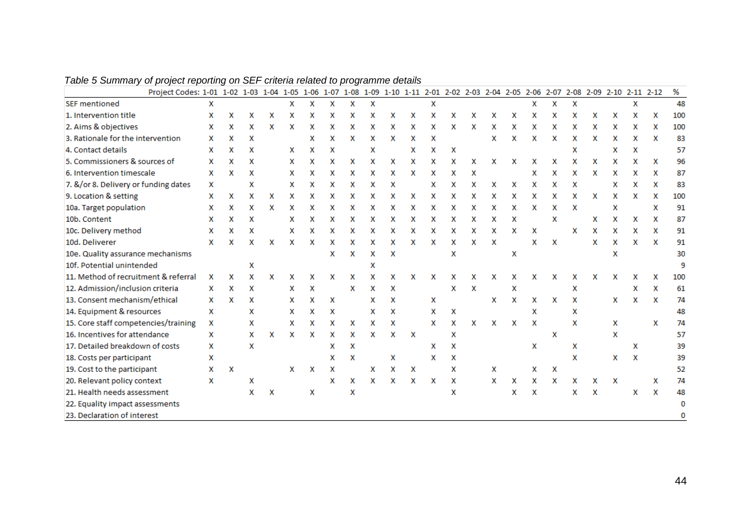| Project Codes: 1-01 1-02 1-03 1-04 1-05 1-06 1-07 1-08 1-09 1-10 1-11 2-01 2-02 2-03 2-04 2-05 2-06 2-07 2-08 2-09 2-10 2-11 2-12 |   |   |   |   |   |   |   |   |   |   |   |   |   |   |   |   |   |   |   |   |   |   |   | %   |
|-----------------------------------------------------------------------------------------------------------------------------------|---|---|---|---|---|---|---|---|---|---|---|---|---|---|---|---|---|---|---|---|---|---|---|-----|
| <b>SEF mentioned</b>                                                                                                              | х |   |   |   | x | x | x | x | x |   |   | х |   |   |   |   | x | x | x |   |   | x |   | 48  |
| 1. Intervention title                                                                                                             | x | x | x | x | x | х | x | x | x | x | x | x | x | x | x | x | x | x | x | x | x | x | x | 100 |
| 2. Aims & objectives                                                                                                              | x | x | x | x | x | x | x | x | x | х | x | x | x | x | x | x | x | x | х | x | x | x | x | 100 |
| 3. Rationale for the intervention                                                                                                 | x | x | x |   |   | x | x | x | x | x | x | x |   |   | x | x | x | x | x | x | x | x | x | 83  |
| 4. Contact details                                                                                                                | x | x | x |   | x | x | x |   | X |   | x | X | x |   |   |   |   |   | x |   | x | х |   | 57  |
| 5. Commissioners & sources of                                                                                                     | x | x | x |   | x | x | x | x | x | x | x | x | x | x | x | x | x | x | x | x | x | x | x | 96  |
| 6. Intervention timescale                                                                                                         | x | x | x |   | x | х | x | x | x | x | x | х | x | x |   |   | х | x | x | x | x | х | x | 87  |
| 7. &/or 8. Delivery or funding dates                                                                                              | х |   | x |   | x | x | x | x | x | x |   | x | x | x | x | x | x | x | x |   | x | x | x | 83  |
| 9. Location & setting                                                                                                             | x | x | x | x | x | x | x | x | x | x | x | x | x | x | x | x | x | x | x | x | x | x | x | 100 |
| 10a. Target population                                                                                                            | x | x | x | x | x | x | x | x | x | x | x | x | x | x | х | x | x | x | x |   | x |   | x | 91  |
| 10b. Content                                                                                                                      | x | x | х |   | x | x | x | x | x | x | x | x | x | x | x | x |   | x |   | x | x | x | x | 87  |
| 10c. Delivery method                                                                                                              | x | x | x |   | x | x | X | x | x | x |   | x | x | x | x | x | х |   | x | x | x | х | x | 91  |
| 10d. Deliverer                                                                                                                    | x | x | x | x | x | x | x | x | x | x | x | x | x | x | x |   | x | x |   | x | x | x | x | 91  |
| 10e. Quality assurance mechanisms                                                                                                 |   |   |   |   |   |   | x | x | x | x |   |   | x |   |   | x |   |   |   |   | x |   |   | 30  |
| 10f. Potential unintended                                                                                                         |   |   | x |   |   |   |   |   | x |   |   |   |   |   |   |   |   |   |   |   |   |   |   | 9   |
| 11. Method of recruitment & referral                                                                                              | x | x | x | x | x |   | x | x | x | x | x | x | x | x | x | x | x | х | х | x | x | x | x | 100 |
| 12. Admission/inclusion criteria                                                                                                  | x | x | x |   | x | x |   | x | x | x |   |   | x | x |   | x |   |   | x |   |   | х | x | 61  |
| 13. Consent mechanism/ethical                                                                                                     | x | x | x |   | x | x | x |   | x | x |   | x |   |   | х | x | x | х | x |   | x | x | x | 74  |
| 14. Equipment & resources                                                                                                         | x |   | x |   | x | x | x |   | x | x |   | x | x |   |   |   | x |   | x |   |   |   |   | 48  |
| 15. Core staff competencies/training                                                                                              | x |   | x |   | x | х | x | x | x | x |   | х | x | x | x | x | x |   | x |   | х |   | x | 74  |
| 16. Incentives for attendance                                                                                                     | x |   | x | x | x | x | х | x | x | x | x |   | x |   |   |   |   | х |   |   | x |   |   | 57  |
| 17. Detailed breakdown of costs                                                                                                   | x |   | x |   |   |   | x | x |   |   |   | х | x |   |   |   | x |   | x |   |   | x |   | 39  |
| 18. Costs per participant                                                                                                         | x |   |   |   |   |   | x | x |   | x |   | x | x |   |   |   |   |   | x |   | x | х |   | 39  |
| 19. Cost to the participant                                                                                                       | x | x |   |   | x | x | x |   | x | x | х |   | x |   | x |   | x | х |   |   |   |   |   | 52  |
| 20. Relevant policy context                                                                                                       | x |   | x |   |   |   | x | x | x | x | x | х | x |   | x | x | x | x | x | x | х |   | x | 74  |
| 21. Health needs assessment                                                                                                       |   |   | x | х |   | x |   | x |   |   |   |   | x |   |   | x | x |   | x | x |   | x | x | 48  |
| 22. Equality impact assessments                                                                                                   |   |   |   |   |   |   |   |   |   |   |   |   |   |   |   |   |   |   |   |   |   |   |   | 0   |
| 23. Declaration of interest                                                                                                       |   |   |   |   |   |   |   |   |   |   |   |   |   |   |   |   |   |   |   |   |   |   |   | 0   |

*Table 5 Summary of project reporting on SEF criteria related to programme details*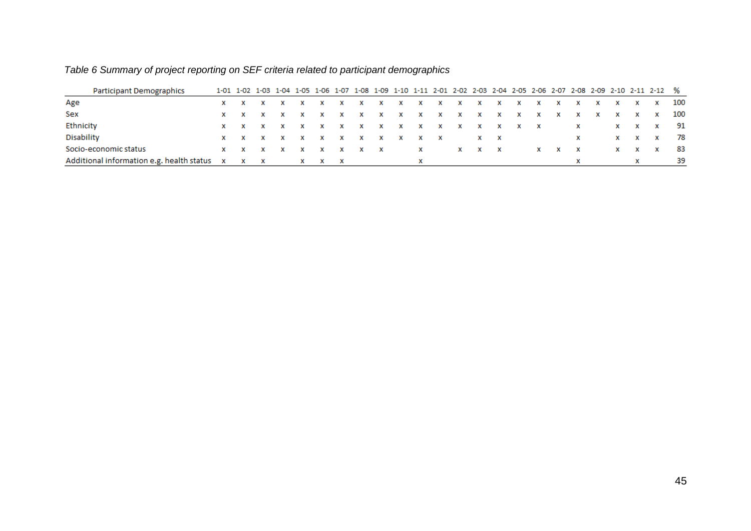| <b>Participant Demographics</b>                           |    |  |   |  |   |                   |          |  |             |                         |              |                                        |    |              |                                             |    |                   | 1-01 1-02 1-03 1-04 1-05 1-06 1-07 1-08 1-09 1-10 1-11 2-01 2-02 2-03 2-04 2-05 2-06 2-07 2-08 2-09 2-10 2-11 2-12 % |      |
|-----------------------------------------------------------|----|--|---|--|---|-------------------|----------|--|-------------|-------------------------|--------------|----------------------------------------|----|--------------|---------------------------------------------|----|-------------------|----------------------------------------------------------------------------------------------------------------------|------|
| Age                                                       |    |  |   |  |   |                   | <b>X</b> |  |             | $X$ $X$ $X$ $X$ $X$ $X$ |              | $\mathbf{x}$ . The set of $\mathbf{x}$ | X. | <b>X</b>     | $\times$ $\times$                           |    |                   | x x x 100                                                                                                            |      |
| Sex                                                       |    |  |   |  |   |                   |          |  |             | x x x x x x x x x x x   |              |                                        |    |              | $\times$ $\times$                           |    |                   | x x x 100                                                                                                            |      |
| Ethnicity                                                 |    |  |   |  |   |                   | x        |  |             | $X$ x x x x x x x x     |              |                                        |    |              | $\mathbf x$ and $\mathbf x$ and $\mathbf x$ |    |                   | x x x 91                                                                                                             |      |
| <b>Disability</b>                                         |    |  | x |  | x | $\mathbf{x}$      | <b>X</b> |  |             | $X$ $X$ $X$ $X$ $X$     |              |                                        |    |              | <b>X</b>                                    |    |                   | x x x 78                                                                                                             |      |
| Socio-economic status                                     | x. |  |   |  | X | $\times$ $\times$ |          |  | $\mathbf x$ |                         | $X \times X$ |                                        |    | $X \times X$ |                                             | X. | $\times$ $\times$ |                                                                                                                      | - 83 |
| Additional information e.g. health status x x x x x x x x |    |  |   |  |   |                   |          |  |             |                         |              |                                        |    |              |                                             |    |                   |                                                                                                                      | -39  |

# *Table 6 Summary of project reporting on SEF criteria related to participant demographics*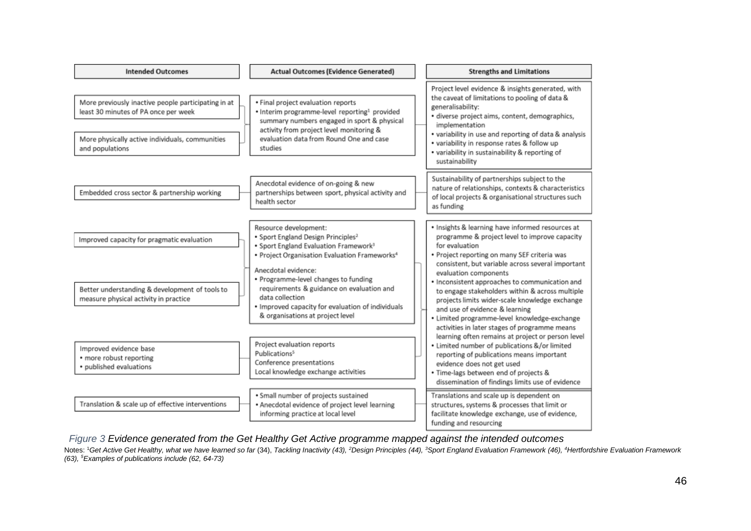| <b>Intended Outcomes</b>                                                                                                                                          | <b>Actual Outcomes (Evidence Generated)</b>                                                                                                                                                                                                                                                                                                                                   | <b>Strengths and Limitations</b>                                                                                                                                                                                                                                                                                                                                                                                                           |
|-------------------------------------------------------------------------------------------------------------------------------------------------------------------|-------------------------------------------------------------------------------------------------------------------------------------------------------------------------------------------------------------------------------------------------------------------------------------------------------------------------------------------------------------------------------|--------------------------------------------------------------------------------------------------------------------------------------------------------------------------------------------------------------------------------------------------------------------------------------------------------------------------------------------------------------------------------------------------------------------------------------------|
| More previously inactive people participating in at<br>least 30 minutes of PA once per week<br>More physically active individuals, communities<br>and populations | · Final project evaluation reports<br>. Interim programme-level reporting <sup>1</sup> provided<br>summary numbers engaged in sport & physical<br>activity from project level monitoring &<br>evaluation data from Round One and case<br>studies                                                                                                                              | Project level evidence & insights generated, with<br>the caveat of limitations to pooling of data &<br>generalisability:<br>· diverse project aims, content, demographics,<br>implementation<br>• variability in use and reporting of data & analysis<br>• variability in response rates & follow up<br>• variability in sustainability & reporting of<br>sustainability                                                                   |
| Embedded cross sector & partnership working                                                                                                                       | Anecdotal evidence of on-going & new<br>partnerships between sport, physical activity and<br>health sector                                                                                                                                                                                                                                                                    | Sustainability of partnerships subject to the<br>nature of relationships, contexts & characteristics<br>of local projects & organisational structures such<br>as funding                                                                                                                                                                                                                                                                   |
| Improved capacity for pragmatic evaluation<br>Better understanding & development of tools to<br>measure physical activity in practice                             | Resource development:<br>• Sport England Design Principles <sup>2</sup><br>• Sport England Evaluation Framework <sup>3</sup><br>• Project Organisation Evaluation Frameworks <sup>4</sup><br>Anecdotal evidence:<br>• Programme-level changes to funding<br>requirements & guidance on evaluation and<br>data collection<br>· Improved capacity for evaluation of individuals | · Insights & learning have informed resources at<br>programme & project level to improve capacity<br>for evaluation<br>· Project reporting on many SEF criteria was<br>consistent, but variable across several important<br>evaluation components<br>• Inconsistent approaches to communication and<br>to engage stakeholders within & across multiple<br>projects limits wider-scale knowledge exchange<br>and use of evidence & learning |
| Improved evidence base<br>• more robust reporting<br>• published evaluations                                                                                      | & organisations at project level<br>Project evaluation reports<br>Publications <sup>5</sup><br>Conference presentations<br>Local knowledge exchange activities                                                                                                                                                                                                                | · Limited programme-level knowledge-exchange<br>activities in later stages of programme means<br>learning often remains at project or person level<br>• Limited number of publications &/or limited<br>reporting of publications means important<br>evidence does not get used<br>· Time-lags between end of projects &<br>dissemination of findings limits use of evidence                                                                |
| Translation & scale up of effective interventions                                                                                                                 | · Small number of projects sustained<br>• Anecdotal evidence of project level learning<br>informing practice at local level                                                                                                                                                                                                                                                   | Translations and scale up is dependent on<br>structures, systems & processes that limit or<br>facilitate knowledge exchange, use of evidence,<br>funding and resourcing                                                                                                                                                                                                                                                                    |

*Figure 3 Evidence generated from the Get Healthy Get Active programme mapped against the intended outcomes*

Notes: <sup>1</sup>Get Active Get Healthy, what we have learned so far (34), Tackling Inactivity (43), <sup>2</sup>Design Principles (44), <sup>3</sup>Sport England Evaluation Framework (46), <sup>4</sup>Hertfordshire Evaluation Framework *(63), <sup>5</sup>Examples of publications include (62, 64-73)*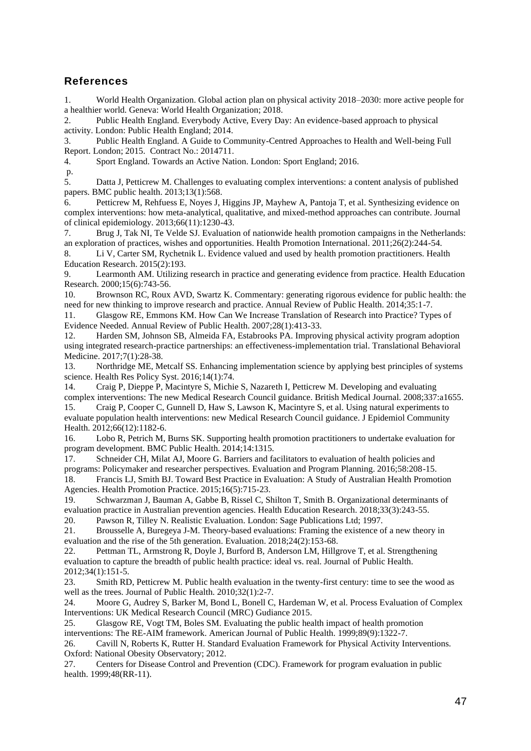## **References**

1. World Health Organization. Global action plan on physical activity 2018–2030: more active people for a healthier world. Geneva: World Health Organization; 2018.

2. Public Health England. Everybody Active, Every Day: An evidence-based approach to physical activity. London: Public Health England; 2014.

3. Public Health England. A Guide to Community-Centred Approaches to Health and Well-being Full Report. London; 2015. Contract No.: 2014711.

4. Sport England. Towards an Active Nation. London: Sport England; 2016.

p.

5. Datta J, Petticrew M. Challenges to evaluating complex interventions: a content analysis of published papers. BMC public health. 2013;13(1):568.

6. Petticrew M, Rehfuess E, Noyes J, Higgins JP, Mayhew A, Pantoja T, et al. Synthesizing evidence on complex interventions: how meta-analytical, qualitative, and mixed-method approaches can contribute. Journal of clinical epidemiology. 2013;66(11):1230-43.

7. Brug J, Tak NI, Te Velde SJ. Evaluation of nationwide health promotion campaigns in the Netherlands: an exploration of practices, wishes and opportunities. Health Promotion International. 2011;26(2):244-54.

8. Li V, Carter SM, Rychetnik L. Evidence valued and used by health promotion practitioners. Health Education Research. 2015(2):193.

9. Learmonth AM. Utilizing research in practice and generating evidence from practice. Health Education Research. 2000;15(6):743-56.

10. Brownson RC, Roux AVD, Swartz K. Commentary: generating rigorous evidence for public health: the need for new thinking to improve research and practice. Annual Review of Public Health. 2014;35:1-7.

11. Glasgow RE, Emmons KM. How Can We Increase Translation of Research into Practice? Types of Evidence Needed. Annual Review of Public Health. 2007;28(1):413-33.

12. Harden SM, Johnson SB, Almeida FA, Estabrooks PA. Improving physical activity program adoption using integrated research-practice partnerships: an effectiveness-implementation trial. Translational Behavioral Medicine. 2017;7(1):28-38.

13. Northridge ME, Metcalf SS. Enhancing implementation science by applying best principles of systems science. Health Res Policy Syst. 2016;14(1):74.

14. Craig P, Dieppe P, Macintyre S, Michie S, Nazareth I, Petticrew M. Developing and evaluating complex interventions: The new Medical Research Council guidance. British Medical Journal. 2008;337:a1655.

15. Craig P, Cooper C, Gunnell D, Haw S, Lawson K, Macintyre S, et al. Using natural experiments to evaluate population health interventions: new Medical Research Council guidance. J Epidemiol Community Health. 2012;66(12):1182-6.

16. Lobo R, Petrich M, Burns SK. Supporting health promotion practitioners to undertake evaluation for program development. BMC Public Health. 2014;14:1315.

17. Schneider CH, Milat AJ, Moore G. Barriers and facilitators to evaluation of health policies and programs: Policymaker and researcher perspectives. Evaluation and Program Planning. 2016;58:208-15.

18. Francis LJ, Smith BJ. Toward Best Practice in Evaluation: A Study of Australian Health Promotion Agencies. Health Promotion Practice. 2015;16(5):715-23.

19. Schwarzman J, Bauman A, Gabbe B, Rissel C, Shilton T, Smith B. Organizational determinants of evaluation practice in Australian prevention agencies. Health Education Research. 2018;33(3):243-55.

20. Pawson R, Tilley N. Realistic Evaluation. London: Sage Publications Ltd; 1997.

21. Brousselle A, Buregeya J-M. Theory-based evaluations: Framing the existence of a new theory in evaluation and the rise of the 5th generation. Evaluation. 2018;24(2):153-68.

22. Pettman TL, Armstrong R, Doyle J, Burford B, Anderson LM, Hillgrove T, et al. Strengthening evaluation to capture the breadth of public health practice: ideal vs. real. Journal of Public Health. 2012;34(1):151-5.

23. Smith RD, Petticrew M. Public health evaluation in the twenty-first century: time to see the wood as well as the trees. Journal of Public Health. 2010;32(1):2-7.

24. Moore G, Audrey S, Barker M, Bond L, Bonell C, Hardeman W, et al. Process Evaluation of Complex Interventions: UK Medical Research Council (MRC) Gudiance 2015.

25. Glasgow RE, Vogt TM, Boles SM. Evaluating the public health impact of health promotion interventions: The RE-AIM framework. American Journal of Public Health. 1999;89(9):1322-7.

26. Cavill N, Roberts K, Rutter H. Standard Evaluation Framework for Physical Activity Interventions. Oxford: National Obesity Observatory; 2012.

27. Centers for Disease Control and Prevention (CDC). Framework for program evaluation in public health. 1999;48(RR-11).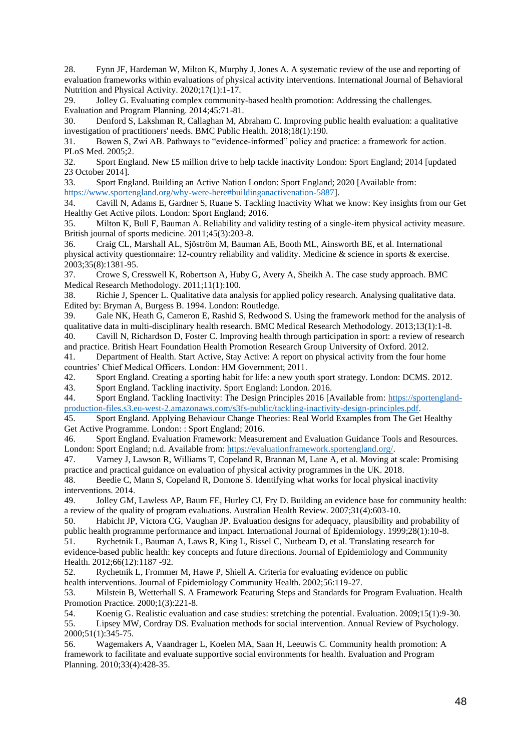28. Fynn JF, Hardeman W, Milton K, Murphy J, Jones A. A systematic review of the use and reporting of evaluation frameworks within evaluations of physical activity interventions. International Journal of Behavioral Nutrition and Physical Activity. 2020;17(1):1-17.

29. Jolley G. Evaluating complex community-based health promotion: Addressing the challenges. Evaluation and Program Planning. 2014;45:71-81.

30. Denford S, Lakshman R, Callaghan M, Abraham C. Improving public health evaluation: a qualitative investigation of practitioners' needs. BMC Public Health. 2018;18(1):190.

31. Bowen S, Zwi AB. Pathways to "evidence-informed" policy and practice: a framework for action. PLoS Med. 2005;2.

32. Sport England. New £5 million drive to help tackle inactivity London: Sport England; 2014 [updated 23 October 2014].

33. Sport England. Building an Active Nation London: Sport England; 2020 [Available from: [https://www.sportengland.org/why-were-here#buildinganactivenation-5887\]](https://www.sportengland.org/why-were-here#buildinganactivenation-5887).

34. Cavill N, Adams E, Gardner S, Ruane S. Tackling Inactivity What we know: Key insights from our Get Healthy Get Active pilots. London: Sport England; 2016.

35. Milton K, Bull F, Bauman A. Reliability and validity testing of a single-item physical activity measure. British journal of sports medicine. 2011;45(3):203-8.

36. Craig CL, Marshall AL, Sjöström M, Bauman AE, Booth ML, Ainsworth BE, et al. International physical activity questionnaire: 12-country reliability and validity. Medicine & science in sports & exercise. 2003;35(8):1381-95.

37. Crowe S, Cresswell K, Robertson A, Huby G, Avery A, Sheikh A. The case study approach. BMC Medical Research Methodology. 2011;11(1):100.

38. Richie J, Spencer L. Qualitative data analysis for applied policy research. Analysing qualitative data. Edited by: Bryman A, Burgess B. 1994. London: Routledge.

39. Gale NK, Heath G, Cameron E, Rashid S, Redwood S. Using the framework method for the analysis of qualitative data in multi-disciplinary health research. BMC Medical Research Methodology. 2013;13(1):1-8.

40. Cavill N, Richardson D, Foster C. Improving health through participation in sport: a review of research and practice. British Heart Foundation Health Promotion Research Group University of Oxford. 2012.

41. Department of Health. Start Active, Stay Active: A report on physical activity from the four home countries' Chief Medical Officers. London: HM Government; 2011.

42. Sport England. Creating a sporting habit for life: a new youth sport strategy. London: DCMS. 2012.

43. Sport England. Tackling inactivity. Sport England: London. 2016.

44. Sport England. Tackling Inactivity: The Design Principles 2016 [Available from: [https://sportengland](https://sportengland-production-files.s3.eu-west-2.amazonaws.com/s3fs-public/tackling-inactivity-design-principles.pdf)[production-files.s3.eu-west-2.amazonaws.com/s3fs-public/tackling-inactivity-design-principles.pdf.](https://sportengland-production-files.s3.eu-west-2.amazonaws.com/s3fs-public/tackling-inactivity-design-principles.pdf)

45. Sport England. Applying Behaviour Change Theories: Real World Examples from The Get Healthy Get Active Programme. London: : Sport England; 2016.

46. Sport England. Evaluation Framework: Measurement and Evaluation Guidance Tools and Resources. London: Sport England; n.d. Available from[: https://evaluationframework.sportengland.org/.](https://evaluationframework.sportengland.org/)

47. Varney J, Lawson R, Williams T, Copeland R, Brannan M, Lane A, et al. Moving at scale: Promising practice and practical guidance on evaluation of physical activity programmes in the UK. 2018.

48. Beedie C, Mann S, Copeland R, Domone S. Identifying what works for local physical inactivity interventions. 2014.

49. Jolley GM, Lawless AP, Baum FE, Hurley CJ, Fry D. Building an evidence base for community health: a review of the quality of program evaluations. Australian Health Review. 2007;31(4):603-10.

50. Habicht JP, Victora CG, Vaughan JP. Evaluation designs for adequacy, plausibility and probability of public health programme performance and impact. International Journal of Epidemiology. 1999;28(1):10-8. 51. Rychetnik L, Bauman A, Laws R, King L, Rissel C, Nutbeam D, et al. Translating research for

evidence-based public health: key concepts and future directions. Journal of Epidemiology and Community Health. 2012;66(12):1187 -92.

52. Rychetnik L, Frommer M, Hawe P, Shiell A. Criteria for evaluating evidence on public health interventions. Journal of Epidemiology Community Health. 2002;56:119-27.

53. Milstein B, Wetterhall S. A Framework Featuring Steps and Standards for Program Evaluation. Health Promotion Practice. 2000;1(3):221-8.

54. Koenig G. Realistic evaluation and case studies: stretching the potential. Evaluation. 2009;15(1):9-30. 55. Lipsey MW, Cordray DS. Evaluation methods for social intervention. Annual Review of Psychology. 2000;51(1):345-75.

56. Wagemakers A, Vaandrager L, Koelen MA, Saan H, Leeuwis C. Community health promotion: A framework to facilitate and evaluate supportive social environments for health. Evaluation and Program Planning. 2010;33(4):428-35.